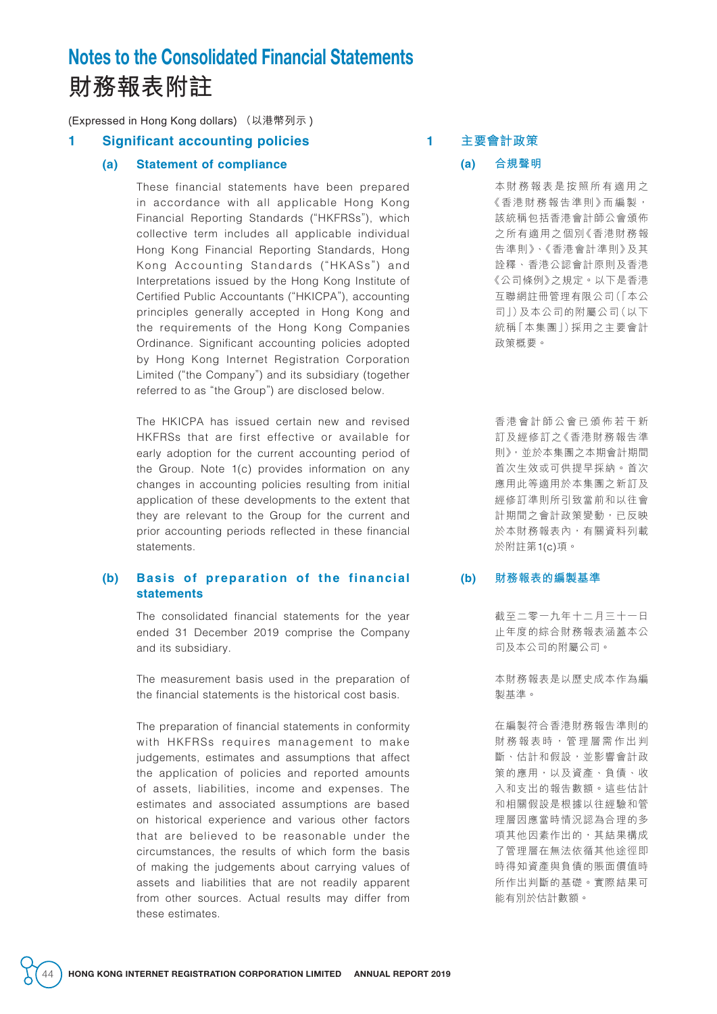# Notes to the Consolidated Financial Statements **財務報表附註**

(Expressed in Hong Kong dollars) (以港幣列示 )

## **1 Significant accounting policies**

#### **(a) Statement of compliance**

These financial statements have been prepared in accordance with all applicable Hong Kong Financial Reporting Standards ("HKFRSs"), which collective term includes all applicable individual Hong Kong Financial Reporting Standards, Hong Kong Accounting Standards ("HKASs") and Interpretations issued by the Hong Kong Institute of Certified Public Accountants ("HKICPA"), accounting principles generally accepted in Hong Kong and the requirements of the Hong Kong Companies Ordinance. Significant accounting policies adopted by Hong Kong Internet Registration Corporation Limited ("the Company") and its subsidiary (together referred to as "the Group") are disclosed below.

The HKICPA has issued certain new and revised HKFRSs that are first effective or available for early adoption for the current accounting period of the Group. Note 1(c) provides information on any changes in accounting policies resulting from initial application of these developments to the extent that they are relevant to the Group for the current and prior accounting periods reflected in these financial statements.

#### **(b) Basis of preparation of the financial statements**

The consolidated financial statements for the year ended 31 December 2019 comprise the Company and its subsidiary.

The measurement basis used in the preparation of the financial statements is the historical cost basis.

The preparation of financial statements in conformity with HKFRSs requires management to make judgements, estimates and assumptions that affect the application of policies and reported amounts of assets, liabilities, income and expenses. The estimates and associated assumptions are based on historical experience and various other factors that are believed to be reasonable under the circumstances, the results of which form the basis of making the judgements about carrying values of assets and liabilities that are not readily apparent from other sources. Actual results may differ from these estimates.

## **1 主要會計政策**

#### **(a) 合規聲明**

本財務報表是按照所有適用之 《香港財務報告準則》而編製, 該統稱包括香港會計師公會頒佈 之所有適用之個別《香港財務報 告準則》、《香港會計準則》及其 詮釋、香港公認會計原則及香港 《公司條例》之規定。以下是香港 互聯網註冊管理有限公司(「本公 司」)及本公司的附屬公司(以下 統稱「本集團」)採用之主要會計 政策概要。

香港會計師公會已頒佈若干新 訂及經修訂之《香港財務報告準 則》,並於本集團之本期會計期間 首次生效或可供提早採納。首次 應用此等適用於本集團之新訂及 經修訂準則所引致當前和以往會 計期間之會計政策變動,已反映 於本財務報表內,有關資料列載 於附註第1(c)項。

#### **(b) 財務報表的編製基準**

截至二零一九年十二月三十一日 止年度的綜合財務報表涵蓋本公 司及本公司的附屬公司。

本財務報表是以歷史成本作為編 製基準。

在編製符合香港財務報告準則的 財務報表時,管理層需作出判 斷、估計和假設,並影響會計政 策的應用,以及資產、負債、收 入和支出的報告數額。這些估計 和相關假設是根據以往經驗和管 理層因應當時情況認為合理的多 項其他因素作出的,其結果構成 了管理層在無法依循其他途徑即 時得知資產與負債的賬面價值時 所作出判斷的基礎。實際結果可 能有別於估計數額。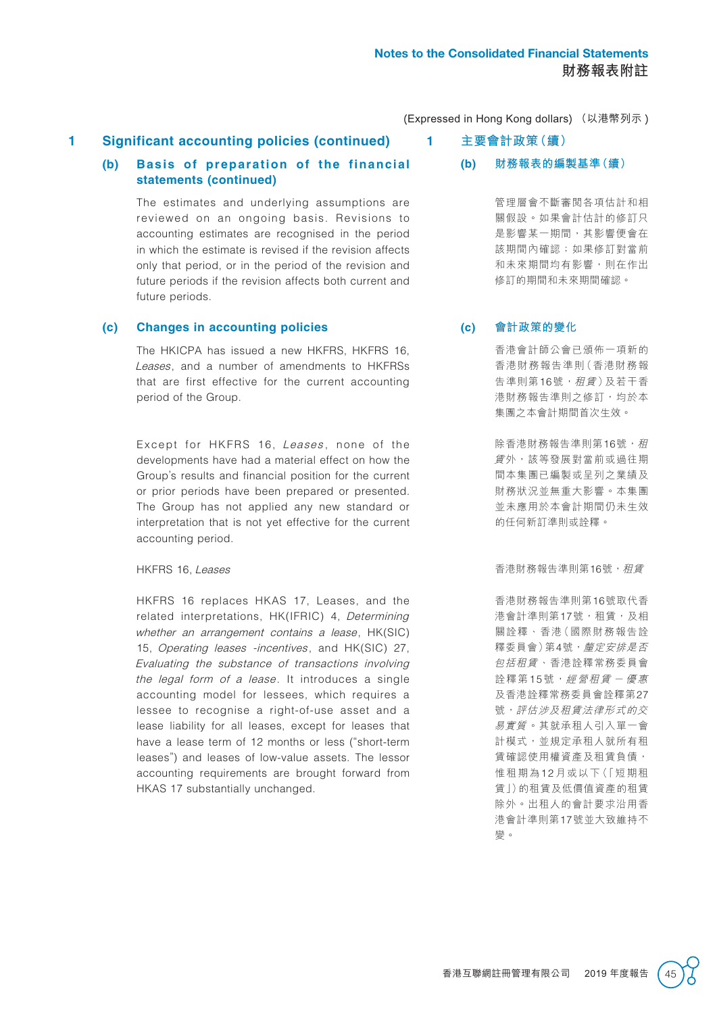**1 Significant accounting policies (continued)**

### **(b) Basis of preparation of the financial statements (continued)**

The estimates and underlying assumptions are reviewed on an ongoing basis. Revisions to accounting estimates are recognised in the period in which the estimate is revised if the revision affects only that period, or in the period of the revision and future periods if the revision affects both current and future periods.

#### **(c) Changes in accounting policies**

The HKICPA has issued a new HKFRS, HKFRS 16, Leases, and a number of amendments to HKFRSs that are first effective for the current accounting period of the Group.

Except for HKFRS 16, Leases, none of the developments have had a material effect on how the Group's results and financial position for the current or prior periods have been prepared or presented. The Group has not applied any new standard or interpretation that is not yet effective for the current accounting period.

HKFRS 16, Leases

HKFRS 16 replaces HKAS 17, Leases, and the related interpretations, HK(IFRIC) 4, Determining whether an arrangement contains a lease, HK(SIC) 15, Operating leases -incentives, and HK(SIC) 27, Evaluating the substance of transactions involving the legal form of a lease. It introduces a single accounting model for lessees, which requires a lessee to recognise a right-of-use asset and a lease liability for all leases, except for leases that have a lease term of 12 months or less ("short-term leases") and leases of low-value assets. The lessor accounting requirements are brought forward from HKAS 17 substantially unchanged.

(Expressed in Hong Kong dollars) (以港幣列示 )

- **1 主要會計政策(續)**
	- **(b) 財務報表的編製基準(續)**

管理層會不斷審閱各項估計和相 關假設。如果會計估計的修訂只 是影響某一期間,其影響便會在 該期間內確認;如果修訂對當前 和未來期間均有影響,則在作出 修訂的期間和未來期間確認。

### **(c) 會計政策的變化**

香港會計師公會已頒佈一項新的 香港財務報告準則(香港財務報 告準則第16號,租賃)及若干香 港財務報告準則之修訂,均於本 集團之本會計期間首次生效。

除香港財務報告準則第16號,租 賃 外,該等發展對當前或過往期 間本集團已編製或呈列之業績及 財務狀況並無重大影響。本集團 並未應用於本會計期間仍未生效 的任何新訂準則或詮釋。

香港財務報告準則第16號,租賃

香港財務報告準則第16號取代香 港會計準則第17號,和賃,及相 關詮釋、香港(國際財務報告詮 釋委員會)第4號,*釐定安排是否* 包括租賃 、香港詮釋常務委員會 詮釋第15號,經營租賃一優惠 及香港詮釋常務委員會詮釋第27 號,評估涉及租賃法律形式的交 易實質 。其就承租人引入單一會 計模式,並規定承租人就所有租 賃確認使用權資產及租賃負債, 惟租期為12 月或以下(「短期租 賃」)的租賃及低價值資產的租賃 除外。出租人的會計要求沿用香 港會計準則第17號並大致維持不 變。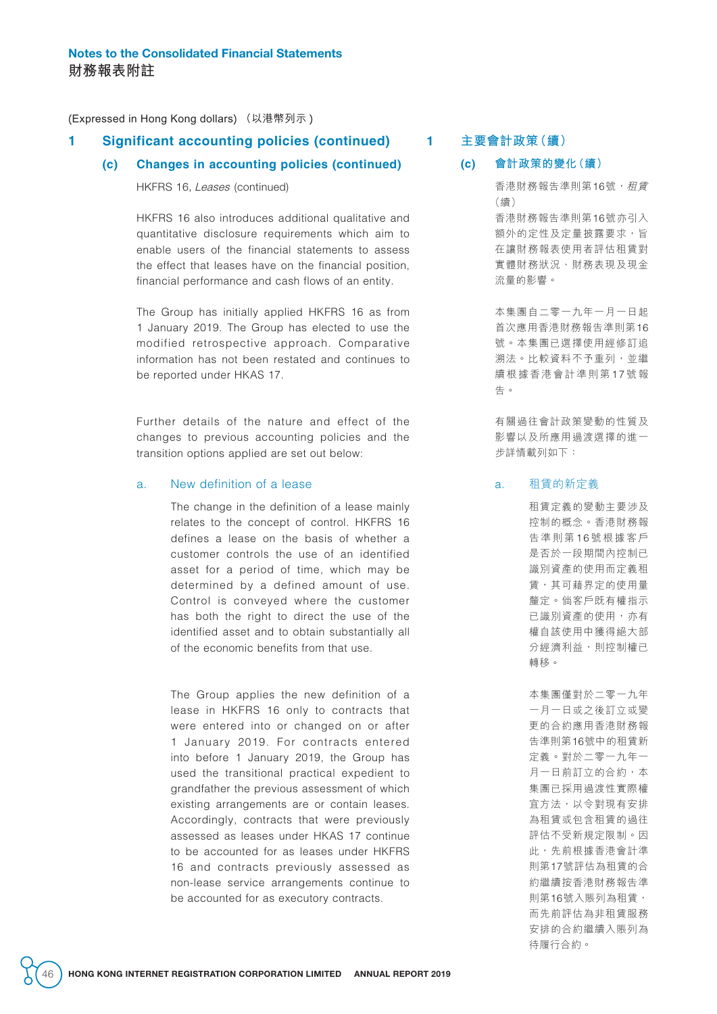### **1 Significant accounting policies (continued)**

#### **(c) Changes in accounting policies (continued)**

HKFRS 16, Leases (continued)

HKFRS 16 also introduces additional qualitative and quantitative disclosure requirements which aim to enable users of the financial statements to assess the effect that leases have on the financial position, financial performance and cash flows of an entity.

The Group has initially applied HKFRS 16 as from 1 January 2019. The Group has elected to use the modified retrospective approach. Comparative information has not been restated and continues to be reported under HKAS 17.

Further details of the nature and effect of the changes to previous accounting policies and the transition options applied are set out below:

#### a. New definition of a lease

The change in the definition of a lease mainly relates to the concept of control. HKFRS 16 defines a lease on the basis of whether a customer controls the use of an identified asset for a period of time, which may be determined by a defined amount of use. Control is conveyed where the customer has both the right to direct the use of the identified asset and to obtain substantially all of the economic benefits from that use.

The Group applies the new definition of a lease in HKFRS 16 only to contracts that were entered into or changed on or after 1 January 2019. For contracts entered into before 1 January 2019, the Group has used the transitional practical expedient to grandfather the previous assessment of which existing arrangements are or contain leases. Accordingly, contracts that were previously assessed as leases under HKAS 17 continue to be accounted for as leases under HKFRS 16 and contracts previously assessed as non-lease service arrangements continue to be accounted for as executory contracts.

**1 主要會計政策(續)**

#### **(c) 會計政策的變化(續)**

香港財務報告準則第16號,租賃 (續) 香港財務報告準則第16號亦引入 額外的定性及定量披露要求,旨 在讓財務報表使用者評估租賃對 實體財務狀況、財務表現及現金 流量的影響。

本集團自二零一九年一月一日起 首次應用香港財務報告準則第16 號。本集團已選擇使用經修訂追 溯法。比較資料不予重列,並繼 續根據香港會計準則第17號報 告。

有關過往會計政策變動的性質及 影響以及所應用過渡選擇的進一 步詳情載列如下:

#### a. 租賃的新定義

租賃定義的變動主要涉及 控制的概念。香港財務報 告準則第 1 6 號根據客戶 是否於一段期間內控制已 識別資產的使用而定義租 賃,其可藉界定的使用量 釐定。倘客戶既有權指示 已識別資產的使用,亦有 權自該使用中獲得絕大部 分經濟利益,則控制權已 轉移。

本集團僅對於二零一九年 一月一日或之後訂立或變 更的合約應用香港財務報 告準則第16號中的租賃新 定義。對於二零一九年一 月一日前訂立的合約,本 集團已採用過渡性實際權 宜方法,以令對現有安排 為租賃或包含租賃的過往 評估不受新規定限制。因 此,先前根據香港會計準 則第17號評估為租賃的合 約繼續按香港財務報告準 則第16號入賬列為租賃, 而先前評估為非租賃服務 安排的合約繼續入賬列為 待履行合約。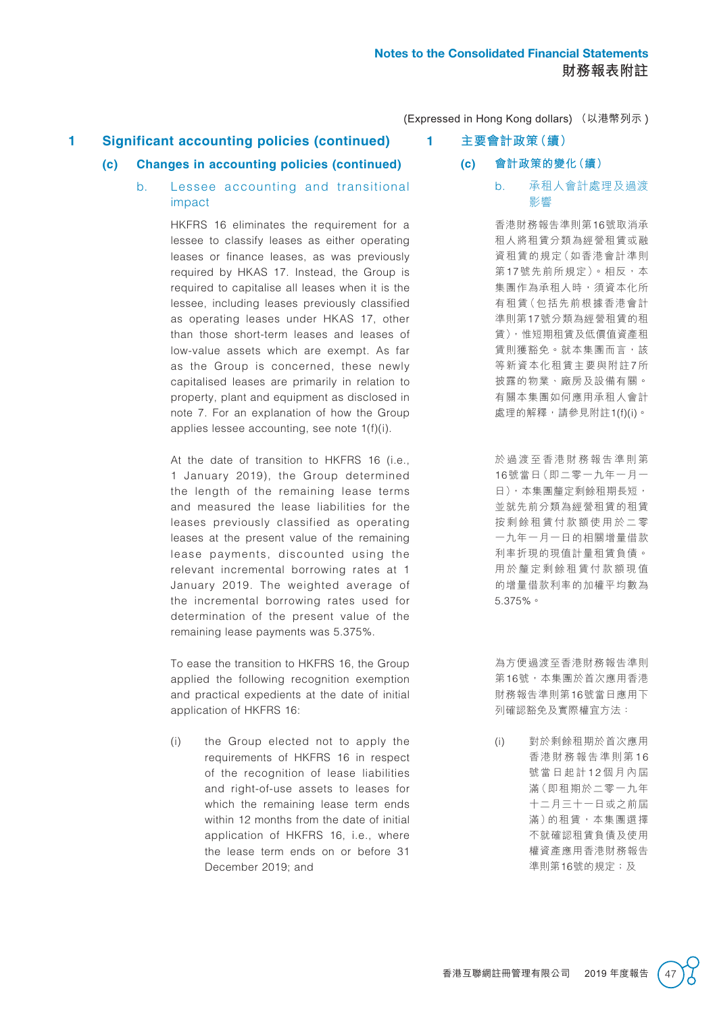## **1 Significant accounting policies (continued)**

### **(c) Changes in accounting policies (continued)**

b. Lessee accounting and transitional impact

> HKFRS 16 eliminates the requirement for a lessee to classify leases as either operating leases or finance leases, as was previously required by HKAS 17. Instead, the Group is required to capitalise all leases when it is the lessee, including leases previously classified as operating leases under HKAS 17, other than those short-term leases and leases of low-value assets which are exempt. As far as the Group is concerned, these newly capitalised leases are primarily in relation to property, plant and equipment as disclosed in note 7. For an explanation of how the Group applies lessee accounting, see note 1(f)(i).

> At the date of transition to HKFRS 16 (i.e., 1 January 2019), the Group determined the length of the remaining lease terms and measured the lease liabilities for the leases previously classified as operating leases at the present value of the remaining lease payments, discounted using the relevant incremental borrowing rates at 1 January 2019. The weighted average of the incremental borrowing rates used for determination of the present value of the remaining lease payments was 5.375%.

To ease the transition to HKFRS 16, the Group applied the following recognition exemption and practical expedients at the date of initial application of HKFRS 16:

(i) the Group elected not to apply the requirements of HKFRS 16 in respect of the recognition of lease liabilities and right-of-use assets to leases for which the remaining lease term ends within 12 months from the date of initial application of HKFRS 16, i.e., where the lease term ends on or before 31 December 2019; and

- **1 主要會計政策(續)**
	- **(c) 會計政策的變化(續)**
		- b. 承租人會計處理及過渡 影響

香港財務報告準則第16號取消承 租人將租賃分類為經營租賃或融 資租賃的規定(如香港會計準則 第17號先前所規定)。相反,本 集團作為承租人時,須資本化所 有租賃(包括先前根據香港會計 準則第17號分類為經營租賃的租 賃),惟短期租賃及低價值資產租 賃則獲豁免。就本集團而言,該 等新資本化租賃主要與附註7所 披露的物業、廠房及設備有關。 有關本集團如何應用承租人會計 處理的解釋,請參見附註1(f)(i)。

於過渡至香港財務報告準則第 16號當日(即二零一九年一月一 日),本集團釐定剩餘租期長短, 並就先前分類為經營租賃的租賃 按剩餘租賃付款額使用於二零 一九年一月一日的相關增量借款 利率折現的現值計量租賃負債。 用於釐定剩餘租賃付款額現值 的增量借款利率的加權平均數為 5.375%。

為方便過渡至香港財務報告準則 第16號,本集團於首次應用香港 財務報告準則第16號當日應用下 列確認豁免及實際權宜方法:

(i) 對於剩餘租期於首次應用 香港財務報告準則第 1 6 號當日起計12個月內屆 滿(即租期於二零一九年 十二月三十一日或之前屆 滿)的租賃,本集團選擇 不就確認租賃負債及使用 權資產應用香港財務報告 準則第16號的規定;及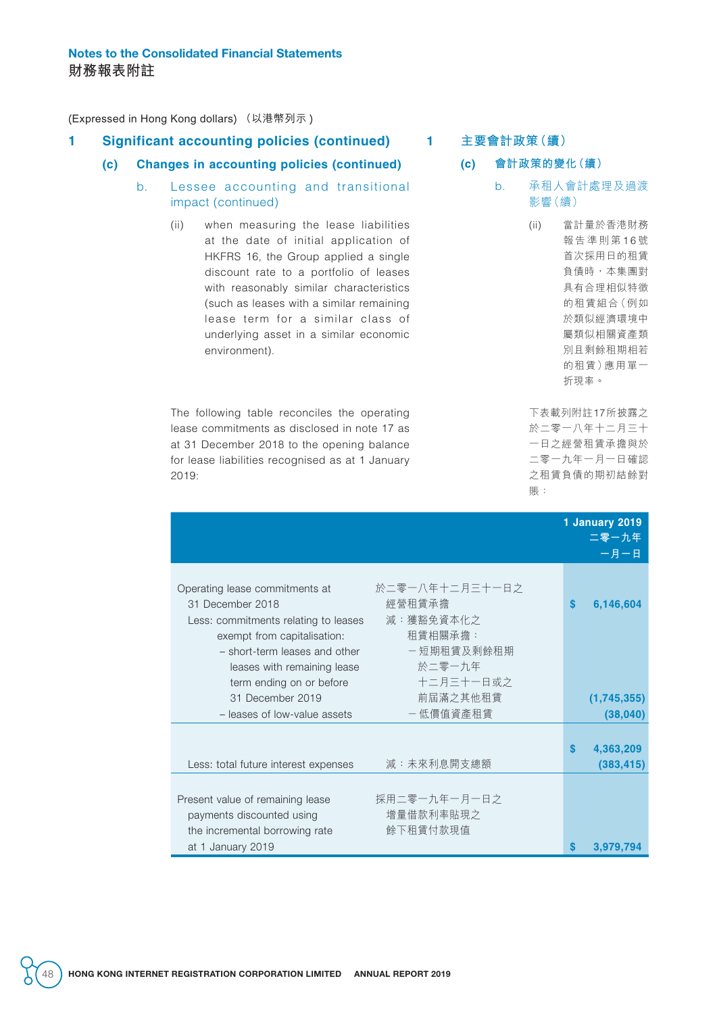### **1 Significant accounting policies (continued)**

### **(c) Changes in accounting policies (continued)**

- b. Lessee accounting and transitional impact (continued)
	- (ii) when measuring the lease liabilities at the date of initial application of HKFRS 16, the Group applied a single discount rate to a portfolio of leases with reasonably similar characteristics (such as leases with a similar remaining lease term for a similar class of underlying asset in a similar economic environment).

The following table reconciles the operating lease commitments as disclosed in note 17 as at 31 December 2018 to the opening balance for lease liabilities recognised as at 1 January 2019:

## **1 主要會計政策(續)**

- **(c) 會計政策的變化(續)**
	- b. 承租人會計處理及過渡 影響(續)
		- (ii) 當計量於香港財務 報告準則第16號 首次採用日的租賃 負債時,本集團對 具有合理相似特徵 的租賃組合(例如 於類似經濟環境中 屬類似相關資產類 別且剩餘租期相若 的租賃)應用單一 折現率。

下表載列附註17所披露之 於二零一八年十二月三十 一日之經營租賃承擔與於 二零一九年一月一日確認 之租賃負債的期初結餘對 賬:

|                                                                                                                                                                                                                                                                                                                | 1 January 2019<br>二零一九年<br>一月一日 |
|----------------------------------------------------------------------------------------------------------------------------------------------------------------------------------------------------------------------------------------------------------------------------------------------------------------|---------------------------------|
| 於二零一八年十二月三十一日之<br>Operating lease commitments at<br>經營租賃承擔<br>31 December 2018<br>減:獲豁免資本化之<br>Less: commitments relating to leases<br>租賃相關承擔:<br>exempt from capitalisation:<br>一短期租賃及剩餘租期<br>- short-term leases and other<br>於二零一九年<br>leases with remaining lease<br>十二月三十一日或之<br>term ending on or before | 6,146,604<br>S                  |
| 前屆滿之其他租賃<br>31 December 2019<br>- 低價值資產租賃<br>- leases of low-value assets                                                                                                                                                                                                                                      | (1,745,355)<br>(38, 040)        |
| 減:未來利息開支總額<br>Less: total future interest expenses                                                                                                                                                                                                                                                             | 4,363,209<br>(383, 415)         |
| 採用二零一九年一月一日之<br>Present value of remaining lease<br>增量借款利率貼現之<br>payments discounted using<br>餘下租賃付款現值<br>the incremental borrowing rate<br>at 1 January 2019                                                                                                                                                  | 3,979,794                       |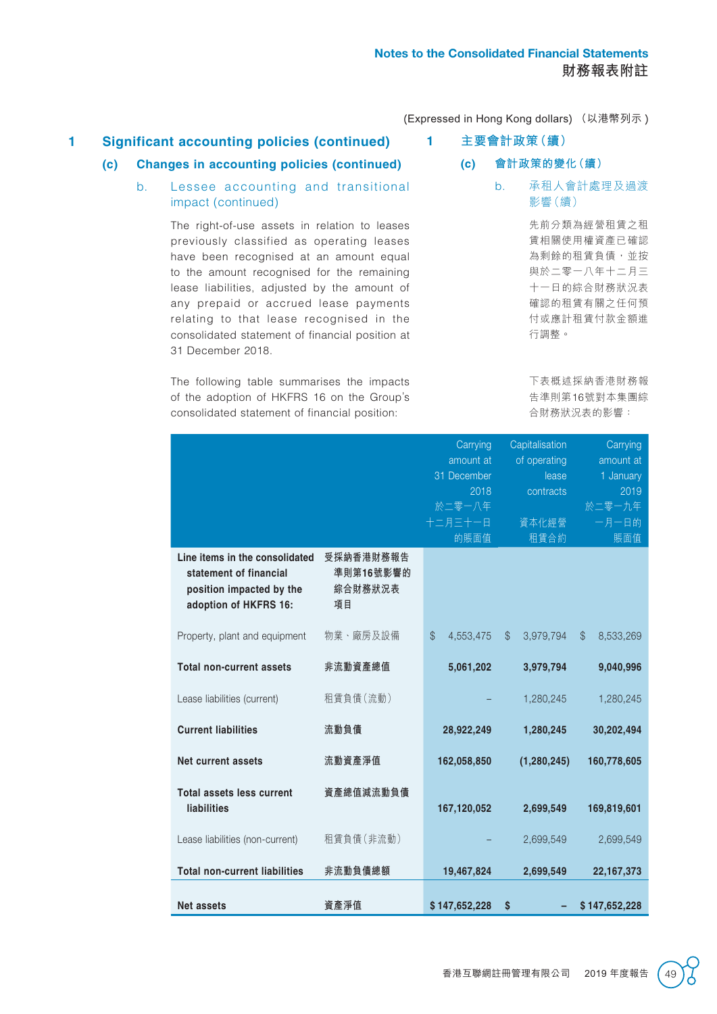## **1 Significant accounting policies (continued)**

**(c) Changes in accounting policies (continued)**

## **(c) 會計政策的變化(續)**

**1 主要會計政策(續)**

### b. Lessee accounting and transitional impact (continued)

The right-of-use assets in relation to leases previously classified as operating leases have been recognised at an amount equal to the amount recognised for the remaining lease liabilities, adjusted by the amount of any prepaid or accrued lease payments relating to that lease recognised in the consolidated statement of financial position at 31 December 2018.

The following table summarises the impacts of the adoption of HKFRS 16 on the Group's consolidated statement of financial position:

b. 承租人會計處理及過渡 影響(續)

> 先前分類為經營租賃之租 賃相關使用權資產已確認 為剩餘的租賃負債,並按 與於二零一八年十二月三 十一日的綜合財務狀況表 確認的租賃有關之任何預 付或應計租賃付款金額進 行調整。

> 下表概述採納香港財務報 告準則第16號對本集團綜 合財務狀況表的影響:

|                                                                                                               |                                         | Carrying        | Capitalisation     | Carrying           |
|---------------------------------------------------------------------------------------------------------------|-----------------------------------------|-----------------|--------------------|--------------------|
|                                                                                                               |                                         | amount at       | of operating       | amount at          |
|                                                                                                               |                                         | 31 December     | lease              | 1 January          |
|                                                                                                               |                                         | 2018            | contracts          | 2019               |
|                                                                                                               |                                         | 於二零一八年          |                    | 於二零一九年             |
|                                                                                                               |                                         | 十二月三十一日         | 資本化經營              | 一月一日的              |
|                                                                                                               |                                         | 的賬面值            | 租賃合約               | 賬面值                |
| Line items in the consolidated<br>statement of financial<br>position impacted by the<br>adoption of HKFRS 16: | 受採納香港財務報告<br>準則第16號影響的<br>綜合財務狀況表<br>項目 |                 |                    |                    |
| Property, plant and equipment                                                                                 | 物業、廠房及設備                                | \$<br>4,553,475 | $\$\$<br>3,979,794 | $\$\$<br>8,533,269 |
| <b>Total non-current assets</b>                                                                               | 非流動資產總值                                 | 5,061,202       | 3,979,794          | 9,040,996          |
| Lease liabilities (current)                                                                                   | 租賃負債(流動)                                |                 | 1,280,245          | 1,280,245          |
| <b>Current liabilities</b>                                                                                    | 流動負債                                    | 28,922,249      | 1,280,245          | 30,202,494         |
| <b>Net current assets</b>                                                                                     | 流動資產淨值                                  | 162,058,850     | (1, 280, 245)      | 160,778,605        |
| <b>Total assets less current</b>                                                                              | 資產總值減流動負債                               |                 |                    |                    |
| <b>liabilities</b>                                                                                            |                                         | 167,120,052     | 2,699,549          | 169,819,601        |
| Lease liabilities (non-current)                                                                               | 租賃負債 (非流動)                              |                 | 2,699,549          | 2,699,549          |
| <b>Total non-current liabilities</b>                                                                          | 非流動負債總額                                 | 19,467,824      | 2,699,549          | 22, 167, 373       |
| <b>Net assets</b>                                                                                             | 資產淨值                                    | \$147,652,228   | \$                 | \$147,652,228      |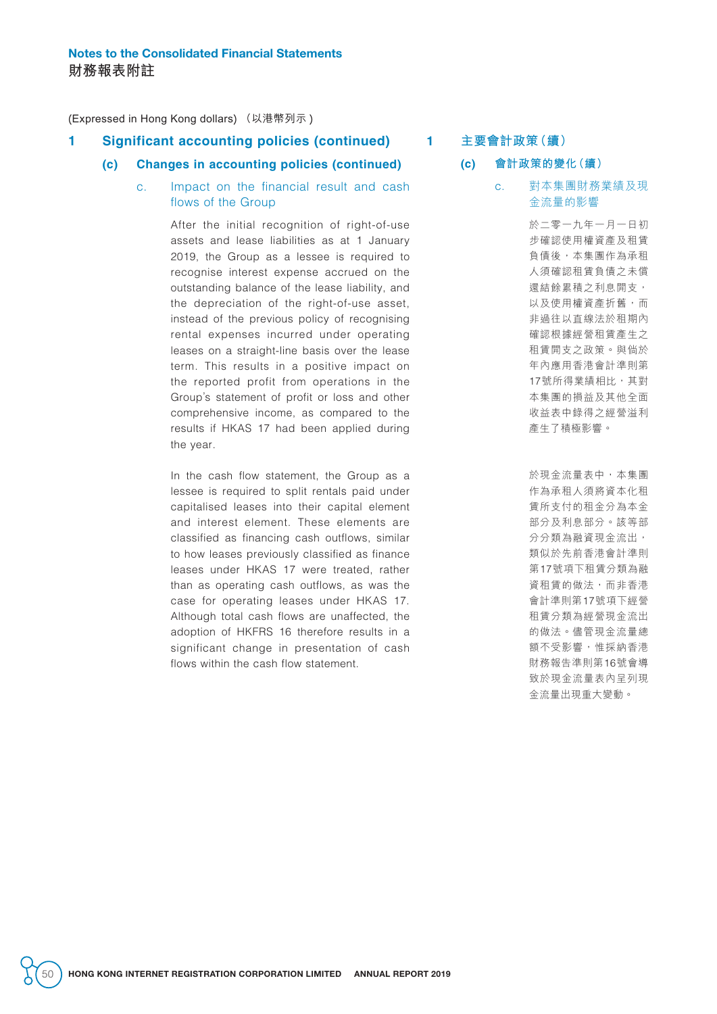### **1 Significant accounting policies (continued)**

### **(c) Changes in accounting policies (continued)**

### c. Impact on the financial result and cash flows of the Group

After the initial recognition of right-of-use assets and lease liabilities as at 1 January 2019, the Group as a lessee is required to recognise interest expense accrued on the outstanding balance of the lease liability, and the depreciation of the right-of-use asset, instead of the previous policy of recognising rental expenses incurred under operating leases on a straight-line basis over the lease term. This results in a positive impact on the reported profit from operations in the Group's statement of profit or loss and other comprehensive income, as compared to the results if HKAS 17 had been applied during the year.

In the cash flow statement, the Group as a lessee is required to split rentals paid under capitalised leases into their capital element and interest element. These elements are classified as financing cash outflows, similar to how leases previously classified as finance leases under HKAS 17 were treated, rather than as operating cash outflows, as was the case for operating leases under HKAS 17. Although total cash flows are unaffected, the adoption of HKFRS 16 therefore results in a significant change in presentation of cash flows within the cash flow statement.

### **1 主要會計政策(續)**

#### **(c) 會計政策的變化(續)**

c. 對本集團財務業績及現 金流量的影響

> 於二零一九年一月一日初 步確認使用權資產及租賃 負債後,本集團作為承租 人須確認租賃負債之未償 還結餘累積之利息開支, 以及使用權資產折舊,而 非過往以直線法於租期內 確認根據經營租賃產生之 租賃開支之政策。與倘於 年內應用香港會計準則第 17號所得業績相比,其對 本集團的損益及其他全面 收益表中錄得之經營溢利 產生了積極影響。

> 於現金流量表中,本集團 作為承租人須將資本化租 賃所支付的租金分為本金 部分及利息部分。該等部 分分類為融資現金流出, 類似於先前香港會計準則 第17號項下租賃分類為融 資租賃的做法,而非香港 會計準則第17號項下經營 租賃分類為經營現金流出 的做法。儘管現金流量總 額不受影響,惟採納香港 財務報告準則第16號會導 致於現金流量表內呈列現 金流量出現重大變動。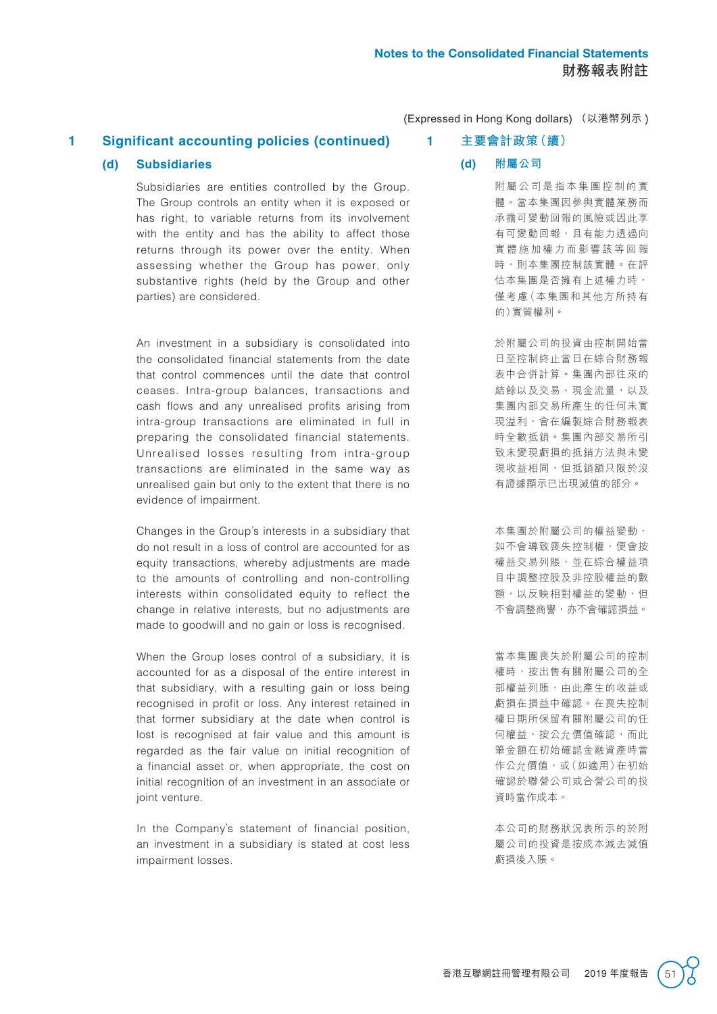## **1 Significant accounting policies (continued)**

### **(d) Subsidiaries**

Subsidiaries are entities controlled by the Group. The Group controls an entity when it is exposed or has right, to variable returns from its involvement with the entity and has the ability to affect those returns through its power over the entity. When assessing whether the Group has power, only substantive rights (held by the Group and other parties) are considered.

An investment in a subsidiary is consolidated into the consolidated financial statements from the date that control commences until the date that control ceases. Intra-group balances, transactions and cash flows and any unrealised profits arising from intra-group transactions are eliminated in full in preparing the consolidated financial statements. Unrealised losses resulting from intra-group transactions are eliminated in the same way as unrealised gain but only to the extent that there is no evidence of impairment.

Changes in the Group's interests in a subsidiary that do not result in a loss of control are accounted for as equity transactions, whereby adjustments are made to the amounts of controlling and non-controlling interests within consolidated equity to reflect the change in relative interests, but no adjustments are made to goodwill and no gain or loss is recognised.

When the Group loses control of a subsidiary, it is accounted for as a disposal of the entire interest in that subsidiary, with a resulting gain or loss being recognised in profit or loss. Any interest retained in that former subsidiary at the date when control is lost is recognised at fair value and this amount is regarded as the fair value on initial recognition of a financial asset or, when appropriate, the cost on initial recognition of an investment in an associate or joint venture.

In the Company's statement of financial position, an investment in a subsidiary is stated at cost less impairment losses.

## **1 主要會計政策(續)**

#### **(d) 附屬公司**

附屬公司是指本集團控制的實 體。當本集團因參與實體業務而 承擔可變動回報的風險或因此享 有可變動回報,且有能力透過向 實體施加權力而影響該等回報 時,則本集團控制該實體。在評 估本集團是否擁有上述權力時, 僅考慮(本集團和其他方所持有 的)實質權利。

於附屬公司的投資由控制開始當 日至控制終止當日在綜合財務報 表中合併計算。集團內部往來的 結餘以及交易、現金流量,以及 集團內部交易所產生的任何未實 現溢利,會在編製綜合財務報表 時全數抵銷。集團內部交易所引 致未變現虧損的抵銷方法與未變 現收益相同,但抵銷額只限於沒 有證據顯示已出現減值的部分。

本集團於附屬公司的權益變動, 如不會導致喪失控制權,便會按 權益交易列賬,並在綜合權益項 目中調整控股及非控股權益的數 額,以反映相對權益的變動,但 不會調整商譽,亦不會確認損益。

當本集團喪失於附屬公司的控制 權時,按出售有關附屬公司的全 部權益列賬,由此產生的收益或 虧損在損益中確認。在喪失控制 權日期所保留有關附屬公司的任 何權益,按公允價值確認,而此 筆金額在初始確認金融資產時當 作公允價值,或(如適用)在初始 確認於聯營公司或合營公司的投 資時當作成本。

本公司的財務狀況表所示的於附 屬公司的投資是按成本減去減值 虧損後入賬。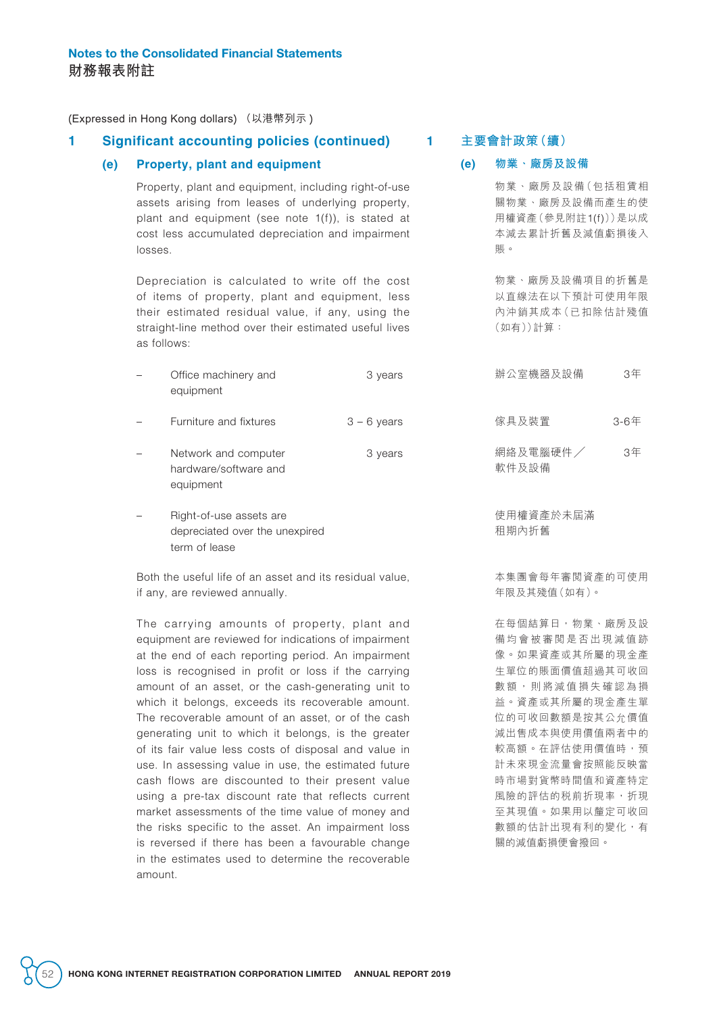### **1 Significant accounting policies (continued)**

#### **(e) Property, plant and equipment**

Property, plant and equipment, including right-of-use assets arising from leases of underlying property, plant and equipment (see note 1(f)), is stated at cost less accumulated depreciation and impairment losses.

Depreciation is calculated to write off the cost of items of property, plant and equipment, less their estimated residual value, if any, using the straight-line method over their estimated useful lives as follows:

- Office machinery and equipment 3 years
- Furniture and fixtures  $3 6$  years
- Network and computer hardware/software and equipment 3 years
- Right-of-use assets are depreciated over the unexpired term of lease

Both the useful life of an asset and its residual value, if any, are reviewed annually.

The carrying amounts of property, plant and equipment are reviewed for indications of impairment at the end of each reporting period. An impairment loss is recognised in profit or loss if the carrying amount of an asset, or the cash-generating unit to which it belongs, exceeds its recoverable amount. The recoverable amount of an asset, or of the cash generating unit to which it belongs, is the greater of its fair value less costs of disposal and value in use. In assessing value in use, the estimated future cash flows are discounted to their present value using a pre-tax discount rate that reflects current market assessments of the time value of money and the risks specific to the asset. An impairment loss is reversed if there has been a favourable change in the estimates used to determine the recoverable amount.

#### **1 主要會計政策(續)**

#### **(e) 物業、廠房及設備**

物業、廠房及設備(包括租賃相 關物業、廠房及設備而產生的使 用權資產(參見附註1(f)))是以成 本減去累計折舊及減值虧損後入 賬。

物業、廠房及設備項目的折舊是 以直線法在以下預計可使用年限 內沖銷其成本(已扣除估計殘值 (如有))計算:

- 辦公室機器及設備 3年
- 傢具及裝置 3-6年
- 網絡及電腦硬件 / 軟件及設備 3年

使用權資產於未屆滿 租期內折舊

本集團會每年審閱資產的可使用 年限及其殘值(如有)。

在每個結算日,物業、廠房及設 備均會被審閱是否出現減值跡 像。如果資產或其所屬的現金產 生單位的賬面價值超過其可收回 數額,則將減值損失確認為損 益。資產或其所屬的現金產生單 位的可收回數額是按其公允價值 減出售成本與使用價值兩者中的 較高額。在評估使用價值時,預 計未來現金流量會按照能反映當 時市場對貨幣時間值和資產特定 風險的評估的税前折現率,折現 至其現值。如果用以釐定可收回 數額的估計出現有利的變化,有 關的減值虧損便會撥回。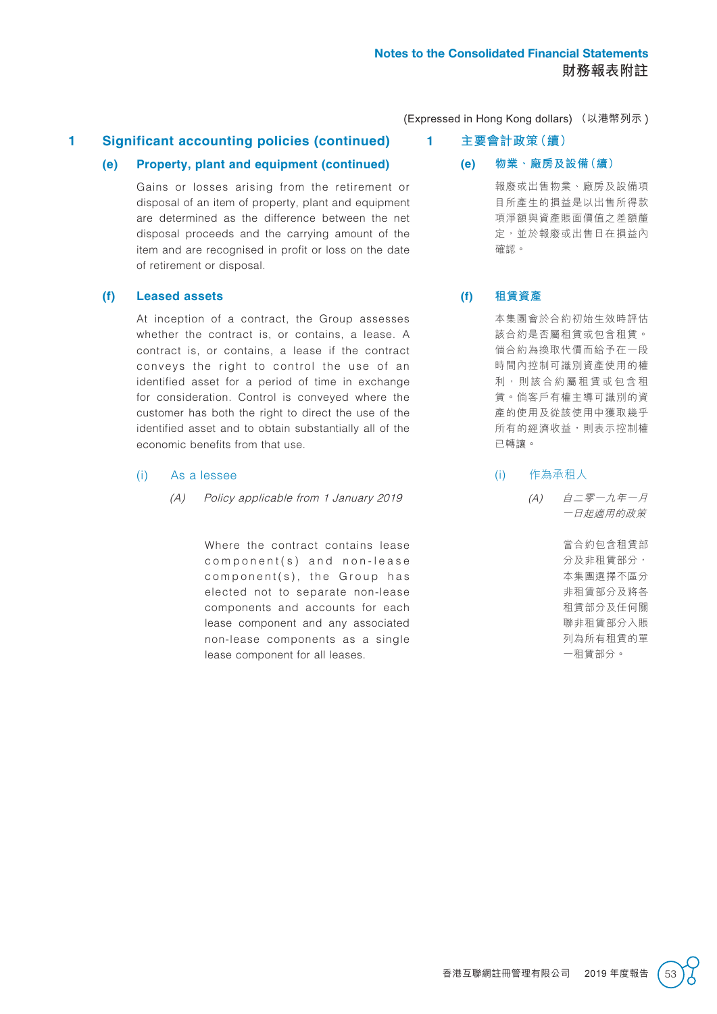## **1 Significant accounting policies (continued)**

### **(e) Property, plant and equipment (continued)**

Gains or losses arising from the retirement or disposal of an item of property, plant and equipment are determined as the difference between the net disposal proceeds and the carrying amount of the item and are recognised in profit or loss on the date of retirement or disposal.

#### **(f) Leased assets**

At inception of a contract, the Group assesses whether the contract is, or contains, a lease. A contract is, or contains, a lease if the contract conveys the right to control the use of an identified asset for a period of time in exchange for consideration. Control is conveyed where the customer has both the right to direct the use of the identified asset and to obtain substantially all of the economic benefits from that use.

#### (i) As a lessee

(A) Policy applicable from 1 January 2019

Where the contract contains lease  $component(s)$  and non-lease  $component(s)$ , the Group has elected not to separate non-lease components and accounts for each lease component and any associated non-lease components as a single lease component for all leases.

(Expressed in Hong Kong dollars) (以港幣列示 )

- **1 主要會計政策(續)**
	- **(e) 物業、廠房及設備(續)**

報廢或出售物業、廠房及設備項 目所產生的損益是以出售所得款 項淨額與資產賬面價值之差額釐 定,並於報廢或出售日在損益內 確認。

### **(f) 租賃資產**

本集團會於合約初始生效時評估 該合約是否屬租賃或包含租賃。 倘合約為換取代價而給予在一段 時間內控制可識別資產使用的權 利,則該合約屬租賃或包含租 賃。倘客戶有權主導可識別的資 產的使用及從該使用中獲取幾乎 所有的經濟收益,則表示控制權 已轉讓。

#### (i) 作為承租人

(A) 自二零一九年一月 一日起適用的政策

> 當合約包含租賃部 分及非租賃部分, 本集團選擇不區分 非租賃部分及將各 租賃部分及任何關 聯非租賃部分入賬 列為所有租賃的單 一租賃部分。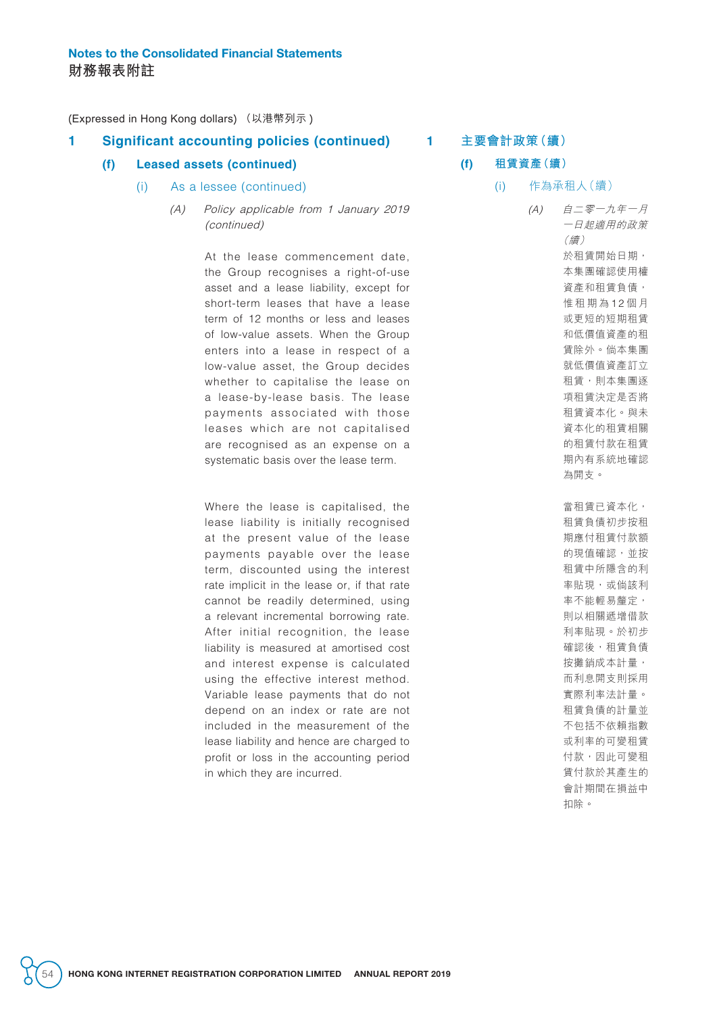### **1 Significant accounting policies (continued)**

#### **(f) Leased assets (continued)**

- (i) As a lessee (continued)
	- (A) Policy applicable from 1 January 2019 (continued)

At the lease commencement date, the Group recognises a right-of-use asset and a lease liability, except for short-term leases that have a lease term of 12 months or less and leases of low-value assets. When the Group enters into a lease in respect of a low-value asset, the Group decides whether to capitalise the lease on a lease-by-lease basis. The lease payments associated with those leases which are not capitalised are recognised as an expense on a systematic basis over the lease term.

Where the lease is capitalised, the lease liability is initially recognised at the present value of the lease payments payable over the lease term, discounted using the interest rate implicit in the lease or, if that rate cannot be readily determined, using a relevant incremental borrowing rate. After initial recognition, the lease liability is measured at amortised cost and interest expense is calculated using the effective interest method. Variable lease payments that do not depend on an index or rate are not included in the measurement of the lease liability and hence are charged to profit or loss in the accounting period in which they are incurred.

### **1 主要會計政策(續)**

#### **(f) 租賃資產(續)**

(i) 作為承租人(續)

(A) 自二零一九年一月 一日起適用的政策 (續) 於租賃開始日期, 本集團確認使用權 資產和租賃負債, 惟租期為12個月 或更短的短期租賃 和低價值資產的租 賃除外。倘本集團 就低價值資產訂立 租賃,則本集團逐 項租賃決定是否將 租賃資本化。與未 資本化的租賃相關 的租賃付款在租賃 期內有系統地確認 為開支。

> 當租賃已資本化, 租賃負債初步按租 期應付租賃付款額 的現值確認,並按 租賃中所隱含的利 率貼現,或倘該利 率不能輕易釐定, 則以相關遞增借款 利率貼現。於初步 確認後,租賃負債 按攤銷成本計量, 而利息開支則採用 實際利率法計量。 租賃負債的計量並 不包括不依賴指數 或利率的可變租賃 付款,因此可變租 賃付款於其產生的 會計期間在損益中 扣除。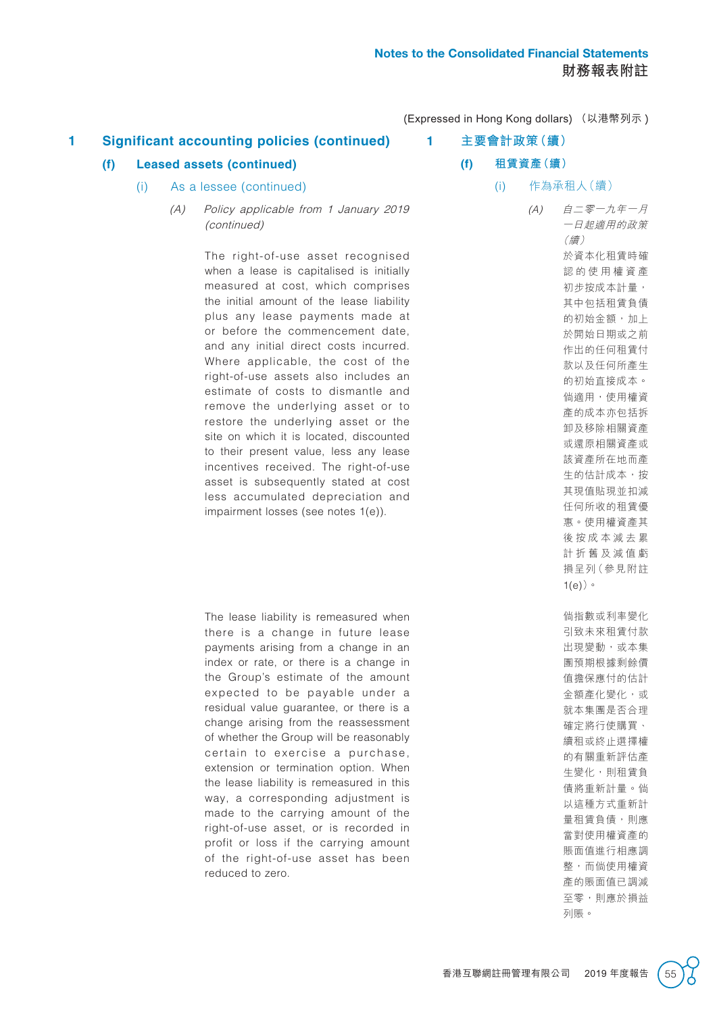**1 主要會計政策(續)**

(Expressed in Hong Kong dollars) (以港幣列示 )

## **1 Significant accounting policies (continued)**

### **(f) Leased assets (continued)**

- (i) As a lessee (continued)
	- (A) Policy applicable from 1 January 2019 (continued)

The right-of-use asset recognised when a lease is capitalised is initially measured at cost, which comprises the initial amount of the lease liability plus any lease payments made at or before the commencement date, and any initial direct costs incurred. Where applicable, the cost of the right-of-use assets also includes an estimate of costs to dismantle and remove the underlying asset or to restore the underlying asset or the site on which it is located, discounted to their present value, less any lease incentives received. The right-of-use asset is subsequently stated at cost less accumulated depreciation and impairment losses (see notes 1(e)).

The lease liability is remeasured when there is a change in future lease payments arising from a change in an index or rate, or there is a change in the Group's estimate of the amount expected to be payable under a residual value guarantee, or there is a change arising from the reassessment of whether the Group will be reasonably certain to exercise a purchase, extension or termination option. When the lease liability is remeasured in this way, a corresponding adjustment is made to the carrying amount of the right-of-use asset, or is recorded in profit or loss if the carrying amount of the right-of-use asset has been reduced to zero.

**(f) 租賃資產(續)**

(i) 作為承租人(續)

(A) 自二零一九年一月 一日起適用的政策 (續) 於資本化租賃時確 認的使用權資產 初步按成本計量, 其中包括租賃負債 的初始金額,加上 於開始日期或之前 作出的任何租賃付 款以及任何所產生 的初始直接成本。 倘適用,使用權資 產的成本亦包括拆 卸及移除相關資產 或還原相關資產或 該資產所在地而產 生的估計成本,按 其現值貼現並扣減 任何所收的租賃優 惠。使用權資產其 後按成本減去累 計折舊及減值虧 損呈列(參見附註 1(e))。 倘指數或利率變化 引致未來租賃付款 出現變動,或本集 團預期根據剩餘價 值擔保應付的估計 金額產化變化,或 就本集團是否合理 確定將行使購買、 續租或終止選擇權 的有關重新評估產 生變化,則租賃負 債將重新計量。倘

> 以這種方式重新計 量租賃負債,則應 當對使用權資產的 賬面值進行相應調 整,而倘使用權資 產的賬面值已調減 至零,則應於損益

列賬。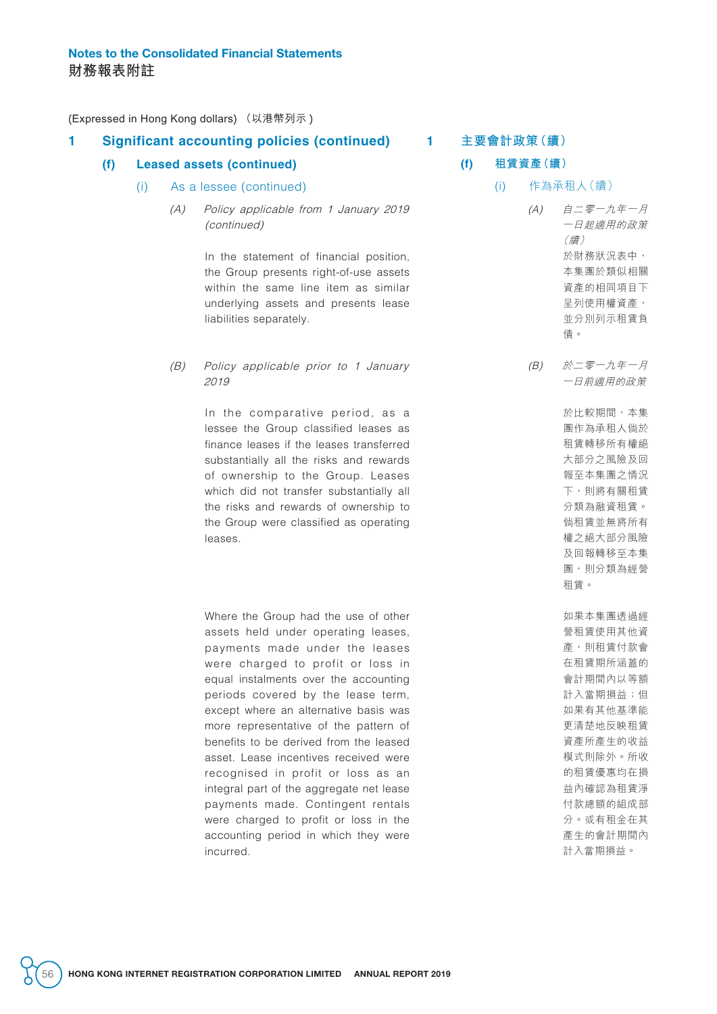### **1 Significant accounting policies (continued)**

#### **(f) Leased assets (continued)**

- (i) As a lessee (continued)
	- (A) Policy applicable from 1 January 2019 (continued)

In the statement of financial position, the Group presents right-of-use assets within the same line item as similar underlying assets and presents lease liabilities separately.

(B) Policy applicable prior to 1 January 2019

> In the comparative period, as a lessee the Group classified leases as finance leases if the leases transferred substantially all the risks and rewards of ownership to the Group. Leases which did not transfer substantially all the risks and rewards of ownership to the Group were classified as operating leases.

> Where the Group had the use of other assets held under operating leases, payments made under the leases were charged to profit or loss in equal instalments over the accounting periods covered by the lease term, except where an alternative basis was more representative of the pattern of benefits to be derived from the leased asset. Lease incentives received were recognised in profit or loss as an integral part of the aggregate net lease payments made. Contingent rentals were charged to profit or loss in the accounting period in which they were incurred.

#### **1 主要會計政策(續)**

#### **(f) 租賃資產(續)**

(i) 作為承租人(續)

(A) 自二零一九年一月 一日起適用的政策 (續) 於財務狀況表中, 本集團於類似相關 資產的相同項目下 呈列使用權資產, 並分別列示租賃負 債。

(B) 於二零一九年一月 一日前適用的政策

> 於比較期間,本集 團作為承租人倘於 租賃轉移所有權絕 大部分之風險及回 報至本集團之情況 下,則將有關租賃 分類為融資租賃。 倘租賃並無將所有 權之絕大部分風險 及回報轉移至本集 團,則分類為經營 租賃。

如果本集團透過經 營租賃使用其他資 產,則租賃付款會 在租賃期所涵蓋的 會計期間內以等額 計入當期損益;但 如果有其他基準能 更清楚地反映租賃 資產所產生的收益 模式則除外。所收 的租賃優惠均在損 益內確認為租賃淨 付款總額的組成部 分。或有租金在其 產生的會計期間內 計入當期損益。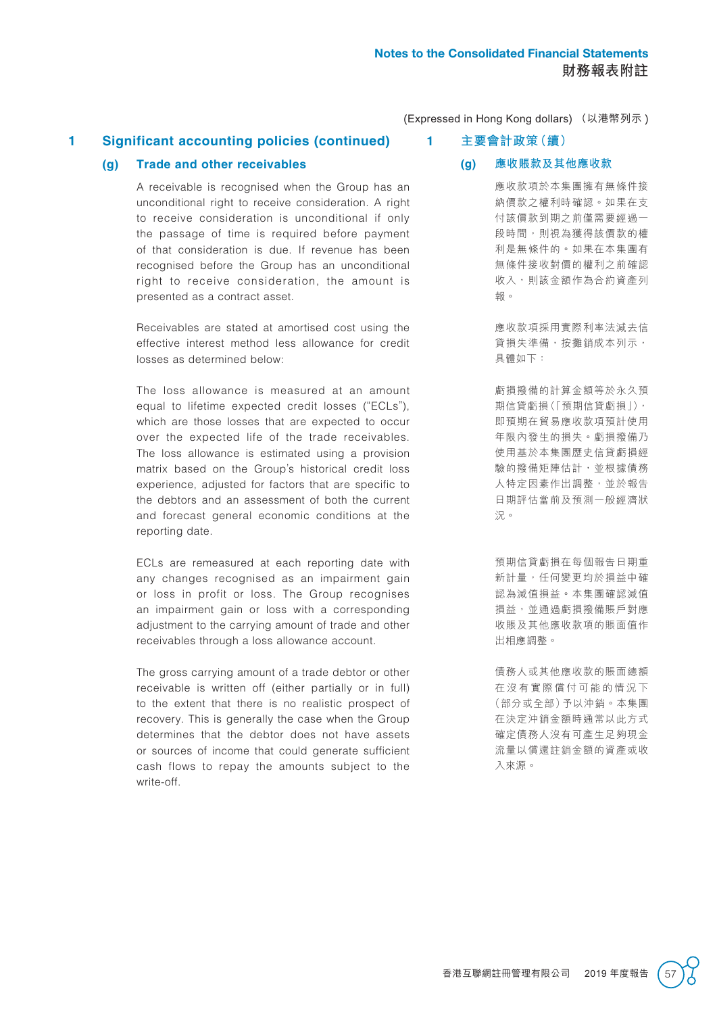## **1 Significant accounting policies (continued)**

#### **(g) Trade and other receivables**

A receivable is recognised when the Group has an unconditional right to receive consideration. A right to receive consideration is unconditional if only the passage of time is required before payment of that consideration is due. If revenue has been recognised before the Group has an unconditional right to receive consideration, the amount is presented as a contract asset.

Receivables are stated at amortised cost using the effective interest method less allowance for credit losses as determined below:

The loss allowance is measured at an amount equal to lifetime expected credit losses ("ECLs"), which are those losses that are expected to occur over the expected life of the trade receivables. The loss allowance is estimated using a provision matrix based on the Group's historical credit loss experience, adjusted for factors that are specific to the debtors and an assessment of both the current and forecast general economic conditions at the reporting date.

ECLs are remeasured at each reporting date with any changes recognised as an impairment gain or loss in profit or loss. The Group recognises an impairment gain or loss with a corresponding adjustment to the carrying amount of trade and other receivables through a loss allowance account.

The gross carrying amount of a trade debtor or other receivable is written off (either partially or in full) to the extent that there is no realistic prospect of recovery. This is generally the case when the Group determines that the debtor does not have assets or sources of income that could generate sufficient cash flows to repay the amounts subject to the write-off.

## **1 主要會計政策(續)**

#### **(g) 應收賬款及其他應收款**

應收款項於本集團擁有無條件接 納價款之權利時確認。如果在支 付該價款到期之前僅需要經過一 段時間,則視為獲得該價款的權 利是無條件的。如果在本集團有 無條件接收對價的權利之前確認 收入,則該金額作為合約資產列 報。

應收款項採用實際利率法減去信 貸損失準備,按攤銷成本列示, 具體如下:

虧損撥備的計算金額等於永久預 期信貸虧損(「預期信貸虧損」), 即預期在貿易應收款項預計使用 年限內發生的損失。虧損撥備乃 使用基於本集團歷史信貸虧損經 驗的撥備矩陣估計,並根據債務 人特定因素作出調整,並於報告 日期評估當前及預測一般經濟狀 況。

預期信貸虧損在每個報告日期重 新計量,任何變更均於損益中確 認為減值損益。本集團確認減值 損益,並通過虧損撥備賬戶對應 收賬及其他應收款項的賬面值作 出相應調整。

債務人或其他應收款的賬面總額 在沒有實際償付可能的情況下 (部分或全部)予以沖銷。本集團 在決定沖銷金額時通常以此方式 確定債務人沒有可產生足夠現金 流量以償還註銷金額的資產或收 入來源。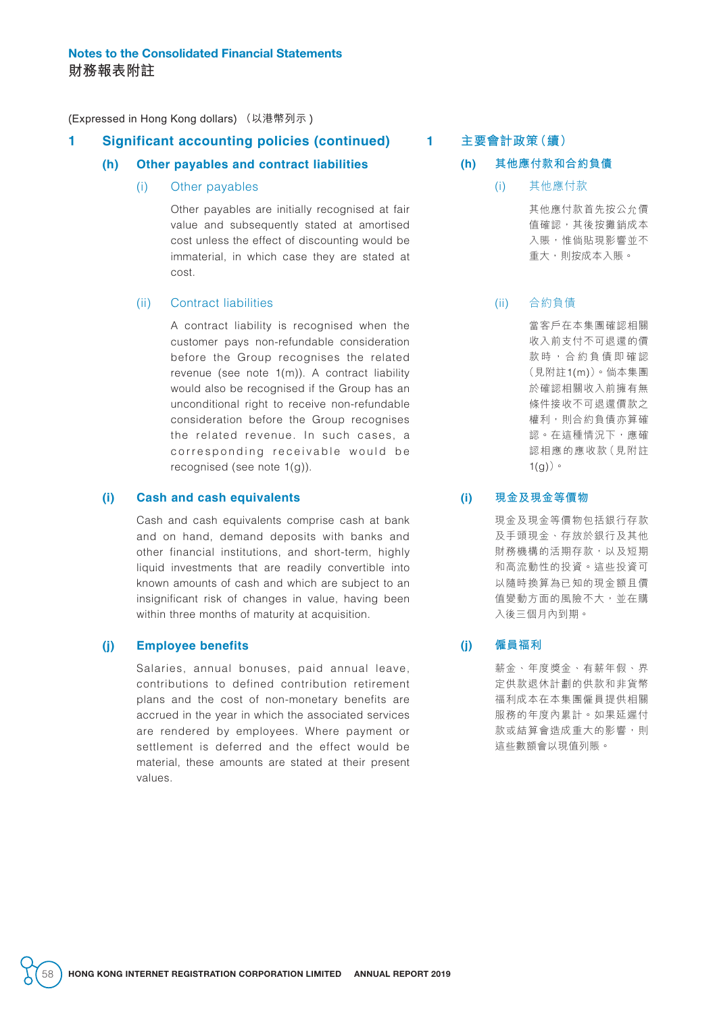### **1 Significant accounting policies (continued)**

#### **(h) Other payables and contract liabilities**

(i) Other payables

Other payables are initially recognised at fair value and subsequently stated at amortised cost unless the effect of discounting would be immaterial, in which case they are stated at cost.

### (ii) Contract liabilities

A contract liability is recognised when the customer pays non-refundable consideration before the Group recognises the related revenue (see note 1(m)). A contract liability would also be recognised if the Group has an unconditional right to receive non-refundable consideration before the Group recognises the related revenue. In such cases, a corresponding receivable would be recognised (see note 1(g)).

#### **(i) Cash and cash equivalents**

Cash and cash equivalents comprise cash at bank and on hand, demand deposits with banks and other financial institutions, and short-term, highly liquid investments that are readily convertible into known amounts of cash and which are subject to an insignificant risk of changes in value, having been within three months of maturity at acquisition.

#### **(j) Employee benefits**

Salaries, annual bonuses, paid annual leave, contributions to defined contribution retirement plans and the cost of non-monetary benefits are accrued in the year in which the associated services are rendered by employees. Where payment or settlement is deferred and the effect would be material, these amounts are stated at their present values.

### **1 主要會計政策(續)**

#### **(h) 其他應付款和合約負債**

(i) 其他應付款

其他應付款首先按公允價 值確認,其後按攤銷成本 入賬,惟倘貼現影響並不 重大,則按成本入賬。

#### (ii) 合約負債

當客戶在本集團確認相關 收入前支付不可退還的價 款時,合約負債即確認 (見附註1(m))。倘本集團 於確認相關收入前擁有無 條件接收不可退還價款之 權利,則合約負債亦算確 認。在這種情況下,應確 認相應的應收款(見附註  $1(g)$ ) 。

#### **(i) 現金及現金等價物**

現金及現金等價物包括銀行存款 及手頭現金、存放於銀行及其他 財務機構的活期存款,以及短期 和高流動性的投資。這些投資可 以隨時換算為已知的現金額且價 值變動方面的風險不大,並在購 入後三個月內到期。

#### **(j) 僱員福利**

薪金、年度獎金、有薪年假、界 定供款退休計劃的供款和非貨幣 福利成本在本集團僱員提供相關 服務的年度內累計。如果延遲付 款或結算會造成重大的影響,則 這些數額會以現值列賬。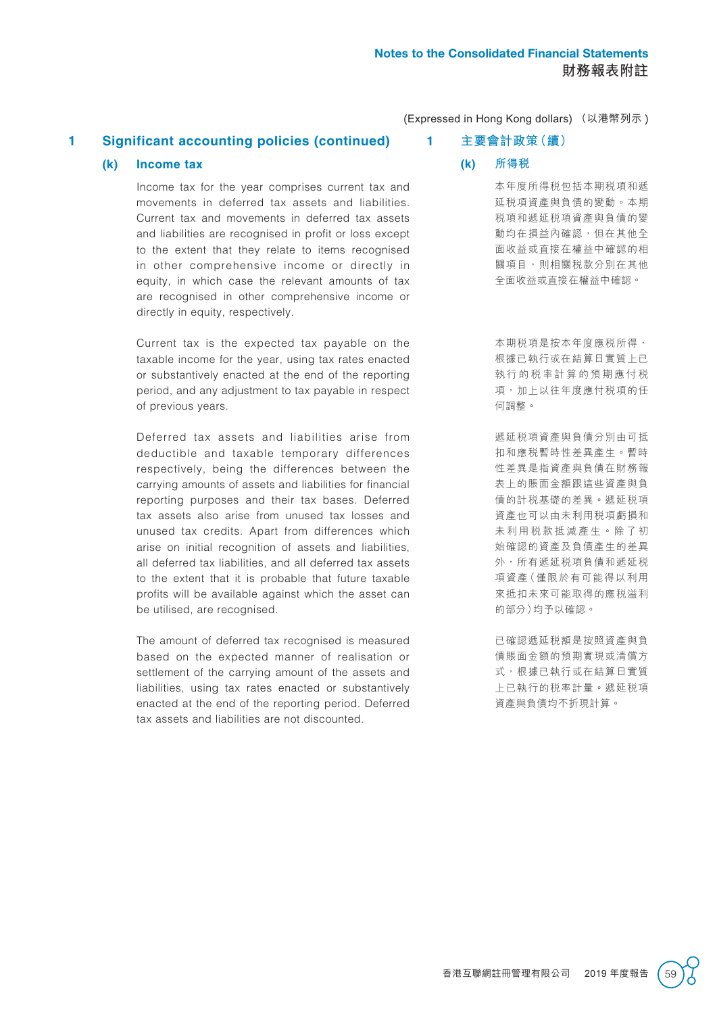## **1 Significant accounting policies (continued)**

#### **(k) Income tax**

Income tax for the year comprises current tax and movements in deferred tax assets and liabilities. Current tax and movements in deferred tax assets and liabilities are recognised in profit or loss except to the extent that they relate to items recognised in other comprehensive income or directly in equity, in which case the relevant amounts of tax are recognised in other comprehensive income or directly in equity, respectively.

Current tax is the expected tax payable on the taxable income for the year, using tax rates enacted or substantively enacted at the end of the reporting period, and any adjustment to tax payable in respect of previous years.

Deferred tax assets and liabilities arise from deductible and taxable temporary differences respectively, being the differences between the carrying amounts of assets and liabilities for financial reporting purposes and their tax bases. Deferred tax assets also arise from unused tax losses and unused tax credits. Apart from differences which arise on initial recognition of assets and liabilities, all deferred tax liabilities, and all deferred tax assets to the extent that it is probable that future taxable profits will be available against which the asset can be utilised, are recognised.

The amount of deferred tax recognised is measured based on the expected manner of realisation or settlement of the carrying amount of the assets and liabilities, using tax rates enacted or substantively enacted at the end of the reporting period. Deferred tax assets and liabilities are not discounted.

(Expressed in Hong Kong dollars) (以港幣列示 )

#### **1 主要會計政策(續)**

**(k) 所得稅**

本年度所得稅包括本期稅項和遞 延稅項資產與負債的變動。本期 稅項和遞延稅項資產與負債的變 動均在損益內確認,但在其他全 面收益或直接在權益中確認的相 關項目,則相關税款分別在其他 全面收益或直接在權益中確認。

本期稅項是按本年度應稅所得, 根據已執行或在結算日實質上已 執行的稅率計算的預期應付稅 項,加上以往年度應付稅項的任 何調整。

遞延稅項資產與負債分別由可抵 扣和應稅暫時性差異產生。暫時 性差異是指資產與負債在財務報 表上的賬面金額跟這些資產與負 債的計稅基礎的差異。遞延稅項 資產也可以由未利用稅項虧損和 未利用稅款抵減產生。除了初 始確認的資產及負債產生的差異 外, 所有遞延税項負債和遞延税 項資產(僅限於有可能得以利用 來抵扣未來可能取得的應稅溢利 的部分)均予以確認。

已確認遞延稅額是按照資產與負 債賬面金額的預期實現或清償方 式,根據已執行或在結算日實質 上已執行的稅率計量。遞延稅項 資產與負債均不折現計算。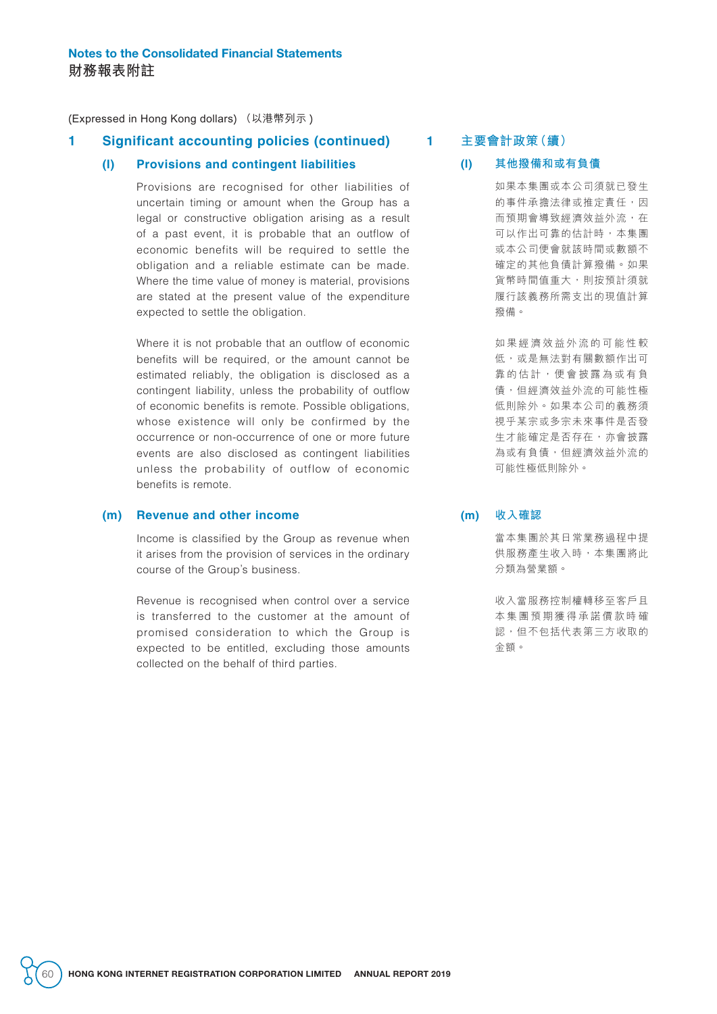### **1 Significant accounting policies (continued)**

#### **(l) Provisions and contingent liabilities**

Provisions are recognised for other liabilities of uncertain timing or amount when the Group has a legal or constructive obligation arising as a result of a past event, it is probable that an outflow of economic benefits will be required to settle the obligation and a reliable estimate can be made. Where the time value of money is material, provisions are stated at the present value of the expenditure expected to settle the obligation.

Where it is not probable that an outflow of economic benefits will be required, or the amount cannot be estimated reliably, the obligation is disclosed as a contingent liability, unless the probability of outflow of economic benefits is remote. Possible obligations, whose existence will only be confirmed by the occurrence or non-occurrence of one or more future events are also disclosed as contingent liabilities unless the probability of outflow of economic benefits is remote.

#### **(m) Revenue and other income**

Income is classified by the Group as revenue when it arises from the provision of services in the ordinary course of the Group's business.

Revenue is recognised when control over a service is transferred to the customer at the amount of promised consideration to which the Group is expected to be entitled, excluding those amounts collected on the behalf of third parties.

**1 主要會計政策(續)**

#### **(l) 其他撥備和或有負債**

如果本集團或本公司須就已發生 的事件承擔法律或推定責任,因 而預期會導致經濟效益外流,在 可以作出可靠的估計時,本集團 或本公司便會就該時間或數額不 確定的其他負債計算撥備。如果 貨幣時間值重大,則按預計須就 履行該義務所需支出的現值計算 撥備。

如果經濟效益外流的可能性較 低,或是無法對有關數額作出可 靠的估計,便會披露為或有負 債,但經濟效益外流的可能性極 低則除外。如果本公司的義務須 視乎某宗或多宗未來事件是否發 生才能確定是否存在,亦會披露 為或有負債,但經濟效益外流的 可能性極低則除外。

#### **(m) 收入確認**

當本集團於其日常業務過程中提 供服務產生收入時,本集團將此 分類為營業額。

收入當服務控制權轉移至客戶且 本集團預期獲得承諾價款時確 認,但不包括代表第三方收取的 金額。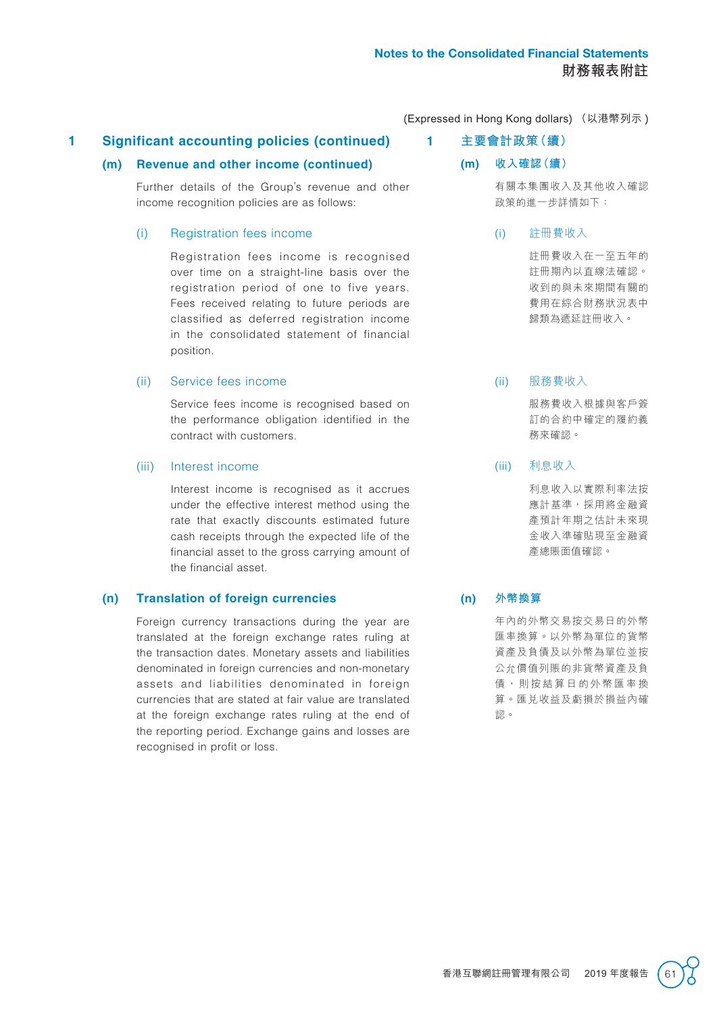## **1 Significant accounting policies (continued)**

## **(m) Revenue and other income (continued)**

Further details of the Group's revenue and other income recognition policies are as follows:

## (i) Registration fees income

Registration fees income is recognised over time on a straight-line basis over the registration period of one to five years. Fees received relating to future periods are classified as deferred registration income in the consolidated statement of financial position.

## (ii) Service fees income

Service fees income is recognised based on the performance obligation identified in the contract with customers.

## (iii) Interest income

Interest income is recognised as it accrues under the effective interest method using the rate that exactly discounts estimated future cash receipts through the expected life of the financial asset to the gross carrying amount of the financial asset.

## **(n) Translation of foreign currencies**

Foreign currency transactions during the year are translated at the foreign exchange rates ruling at the transaction dates. Monetary assets and liabilities denominated in foreign currencies and non-monetary assets and liabilities denominated in foreign currencies that are stated at fair value are translated at the foreign exchange rates ruling at the end of the reporting period. Exchange gains and losses are recognised in profit or loss.

(Expressed in Hong Kong dollars) (以港幣列示 )

**1 主要會計政策(續)**

## **(m) 收入確認(續)**

有關本集團收入及其他收入確認 政策的進一步詳情如下:

## (i) 註冊費收入

註冊費收入在一至五年的 註冊期內以直線法確認。 收到的與未來期間有關的 費用在綜合財務狀況表中 歸類為遞延註冊收入。

## (ii) 服務費收入

服務費收入根據與客戶簽 訂的合約中確定的履約義 務來確認。

## (iii) 利息收入

利息收入以實際利率法按 應計基準,採用將金融資 產預計年期之估計未來現 金收入準確貼現至金融資 產總賬面值確認。

## **(n) 外幣換算**

年內的外幣交易按交易日的外幣 匯率換算。以外幣為單位的貨幣 資產及負債及以外幣為單位並按 公允價值列賬的非貨幣資產及負 債,則按結算日的外幣匯率換 算。匯兌收益及虧損於損益內確 認。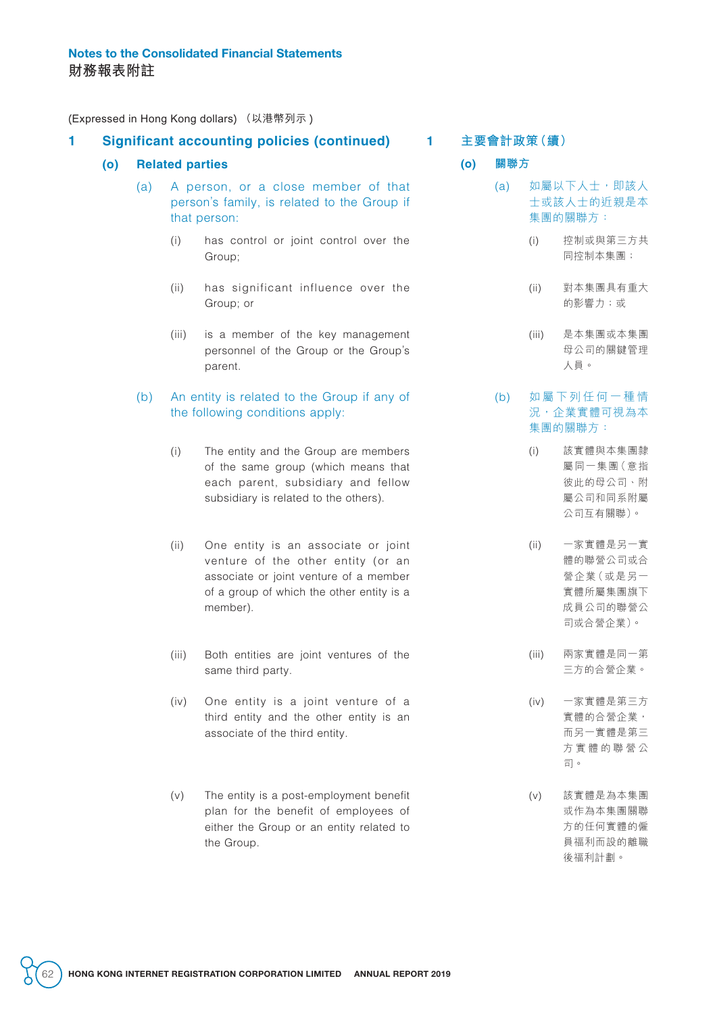### **1 Significant accounting policies (continued)**

#### **(o) Related parties**

- (a) A person, or a close member of that person's family, is related to the Group if that person:
	- (i) has control or joint control over the Group;
	- (ii) has significant influence over the Group; or
	- (iii) is a member of the key management personnel of the Group or the Group's parent.

### (b) An entity is related to the Group if any of the following conditions apply:

- (i) The entity and the Group are members of the same group (which means that each parent, subsidiary and fellow subsidiary is related to the others).
- (ii) One entity is an associate or joint venture of the other entity (or an associate or joint venture of a member of a group of which the other entity is a member).
- (iii) Both entities are joint ventures of the same third party.
- (iv) One entity is a joint venture of a third entity and the other entity is an associate of the third entity.
- (v) The entity is a post-employment benefit plan for the benefit of employees of either the Group or an entity related to the Group.

#### **1 主要會計政策(續)**

**(o) 關聯方**

- (a) 如屬以下人士,即該人 士或該人士的近親是本 集團的關聯方:
	- (i) 控制或與第三方共 同控制本集團;
	- (ii) 對本集團具有重大 的影響力;或
	- (iii) 是本集團或本集團 母公司的關鍵管理 人員。

#### (b) 如屬下列任何一種情 況,企業實體可視為本 集團的關聯方:

- (i) 該實體與本集團隸 屬同一集團(意指 彼此的母公司、附 屬公司和同系附屬 公司互有關聯)。
- (ii) 一家實體是另一實 體的聯營公司或合 營企業(或是另一 實體所屬集團旗下 成員公司的聯營公 司或合營企業)。
- (iii) 兩家實體是同一第 三方的合營企業。
- (iv) 一家實體是第三方 實體的合營企業, 而另一實體是第三 方實體的聯營公 司。
- (v) 該實體是為本集團 或作為本集團關聯 方的任何實體的僱 員福利而設的離職 後福利計劃。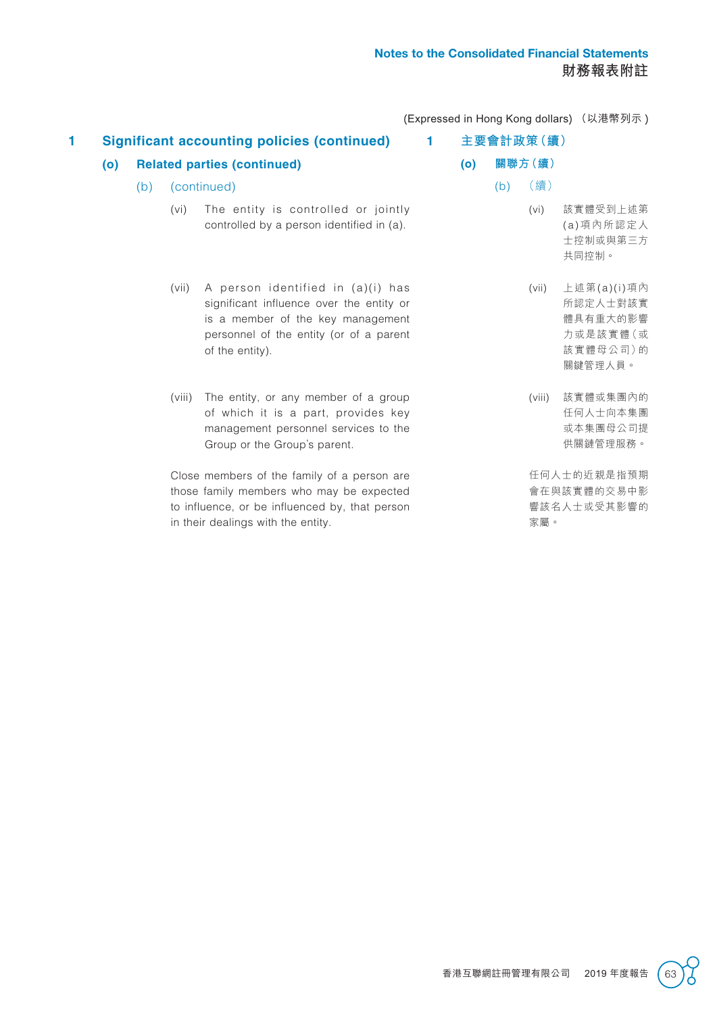| 1 |     |     |                                    | <b>Significant accounting policies (continued)</b>                                                                                                                               | 1 |     |         | 主要會計政策(續) |                                                                         |
|---|-----|-----|------------------------------------|----------------------------------------------------------------------------------------------------------------------------------------------------------------------------------|---|-----|---------|-----------|-------------------------------------------------------------------------|
|   | (o) |     | <b>Related parties (continued)</b> |                                                                                                                                                                                  |   | (o) | 關聯方 (續) |           |                                                                         |
|   |     | (b) |                                    | (continued)                                                                                                                                                                      |   |     | (b)     | (續)       |                                                                         |
|   |     |     | (vi)                               | The entity is controlled or jointly<br>controlled by a person identified in (a).                                                                                                 |   |     |         | (vi)      | 該實體受到上述第<br>(a) 項內所認定人<br>士控制或與第三方<br>共同控制。                             |
|   |     |     | (vii)                              | A person identified in (a)(i) has<br>significant influence over the entity or<br>is a member of the key management<br>personnel of the entity (or of a parent<br>of the entity). |   |     |         | (vii)     | 上述第(a)(i)項內<br>所認定人士對該實<br>體具有重大的影響<br>力或是該實體 (或<br>該實體母公司)的<br>關鍵管理人員。 |
|   |     |     | (viii)                             | The entity, or any member of a group<br>of which it is a part, provides key<br>management personnel services to the<br>Group or the Group's parent.                              |   |     |         | (viii)    | 該實體或集團內的<br>任何人士向本集團<br>或本集團母公司提<br>供關鏈管理服務。                            |
|   |     |     |                                    | Close members of the family of a person are<br>those family members who may be expected<br>to influence, or be influenced by, that person<br>in their dealings with the entity.  |   |     |         | 家屬。       | 任何人士的近親是指預期<br>會在與該實體的交易中影<br>響該名人士或受其影響的                               |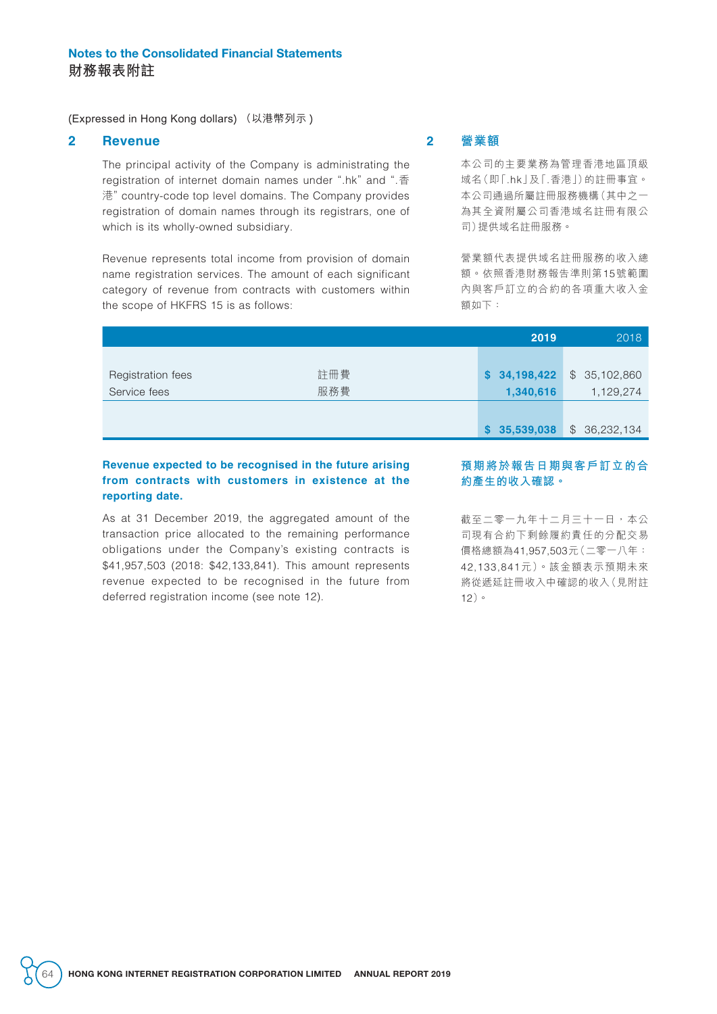#### **2 Revenue**

The principal activity of the Company is administrating the registration of internet domain names under ".hk" and ".香 港" country-code top level domains. The Company provides registration of domain names through its registrars, one of which is its wholly-owned subsidiary.

Revenue represents total income from provision of domain name registration services. The amount of each significant category of revenue from contracts with customers within the scope of HKFRS 15 is as follows:

## **2 營業額**

本公司的主要業務為管理香港地區頂級 域名(即「.hk」及「.香港」)的註冊事宜。 本公司通過所屬註冊服務機構(其中之一 為其全資附屬公司香港域名註冊有限公 司)提供域名註冊服務。

營業額代表提供域名註冊服務的收入總 額。依照香港財務報告準則第15號範圍 內與客戶訂立的合約的各項重大收入金 額如下:

|                   |     | 2019         | 2018                        |
|-------------------|-----|--------------|-----------------------------|
|                   |     |              |                             |
| Registration fees | 註冊費 | \$34,198,422 | 35,102,860<br>$\mathcal{L}$ |
| Service fees      | 服務費 | 1,340,616    | 1,129,274                   |
|                   |     |              |                             |
|                   |     | \$35,539,038 | 36,232,134<br>$\mathcal{L}$ |

#### **Revenue expected to be recognised in the future arising from contracts with customers in existence at the reporting date.**

As at 31 December 2019, the aggregated amount of the transaction price allocated to the remaining performance obligations under the Company's existing contracts is \$41,957,503 (2018: \$42,133,841). This amount represents revenue expected to be recognised in the future from deferred registration income (see note 12).

#### **預期將於報告日期與客戶訂立的合 約產生的收入確認。**

截至二零一九年十二月三十一日,本公 司現有合約下剩餘履約責任的分配交易 價格總額為41,957,503元(二零一八年: 42,133,841元)。該金額表示預期未來 將從遞延註冊收入中確認的收入(見附註 12)。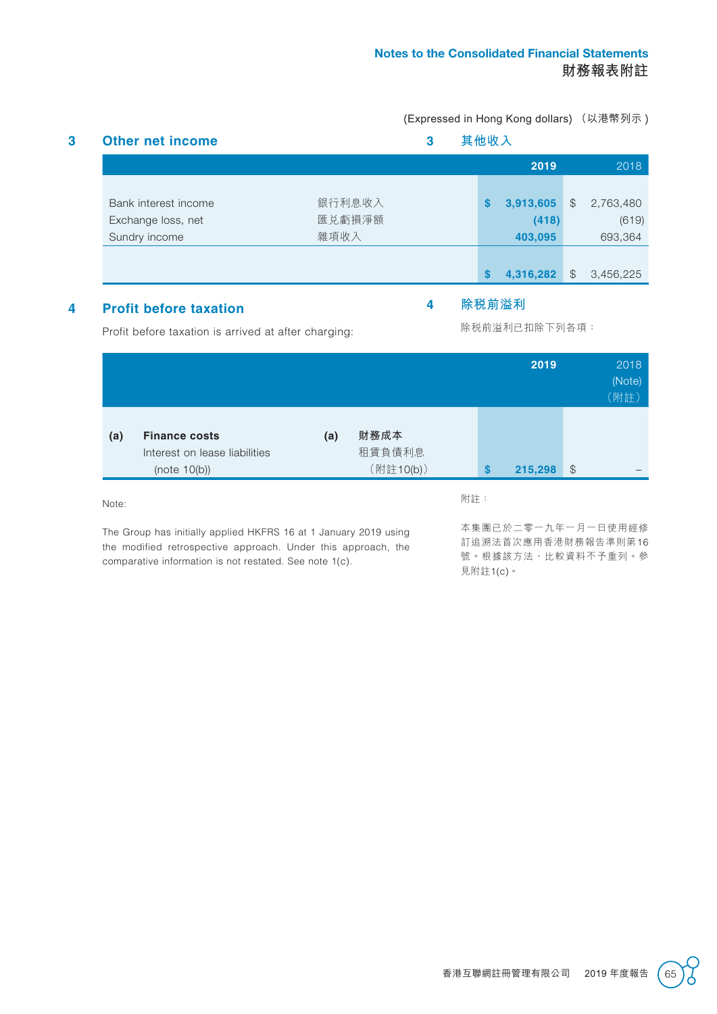|                      |        |    | 2019      |               | 2018      |
|----------------------|--------|----|-----------|---------------|-----------|
| Bank interest income | 銀行利息收入 | \$ | 3,913,605 | \$            | 2,763,480 |
| Exchange loss, net   | 匯兑虧損淨額 |    | (418)     |               | (619)     |
| Sundry income        | 雜項收入   |    | 403,095   |               | 693,364   |
|                      |        |    |           |               |           |
|                      |        | S  | 4,316,282 | $\mathcal{F}$ | 3,456,225 |

## **4 Profit before taxation**

## **4 除稅前溢利**

Profit before taxation is arrived at after charging:

除稅前溢利已扣除下列各項:

|                    |                                                                          |     |                             |     | 2019          |               | 2018<br>(Note)<br>(附註) |
|--------------------|--------------------------------------------------------------------------|-----|-----------------------------|-----|---------------|---------------|------------------------|
| (a)                | <b>Finance costs</b><br>Interest on lease liabilities<br>(note $10(b)$ ) | (a) | 財務成本<br>租賃負債利息<br>(附註10(b)) |     | \$<br>215,298 | $\frac{1}{2}$ |                        |
| $N \cap \text{to}$ |                                                                          |     |                             | 附註: |               |               |                        |

Note:

The Group has initially applied HKFRS 16 at 1 January 2019 using the modified retrospective approach. Under this approach, the comparative information is not restated. See note 1(c).

本集團已於二零一九年一月一日使用經修 訂追溯法首次應用香港財務報告準則第16 號。根據該方法,比較資料不予重列。參 見附註1(c)。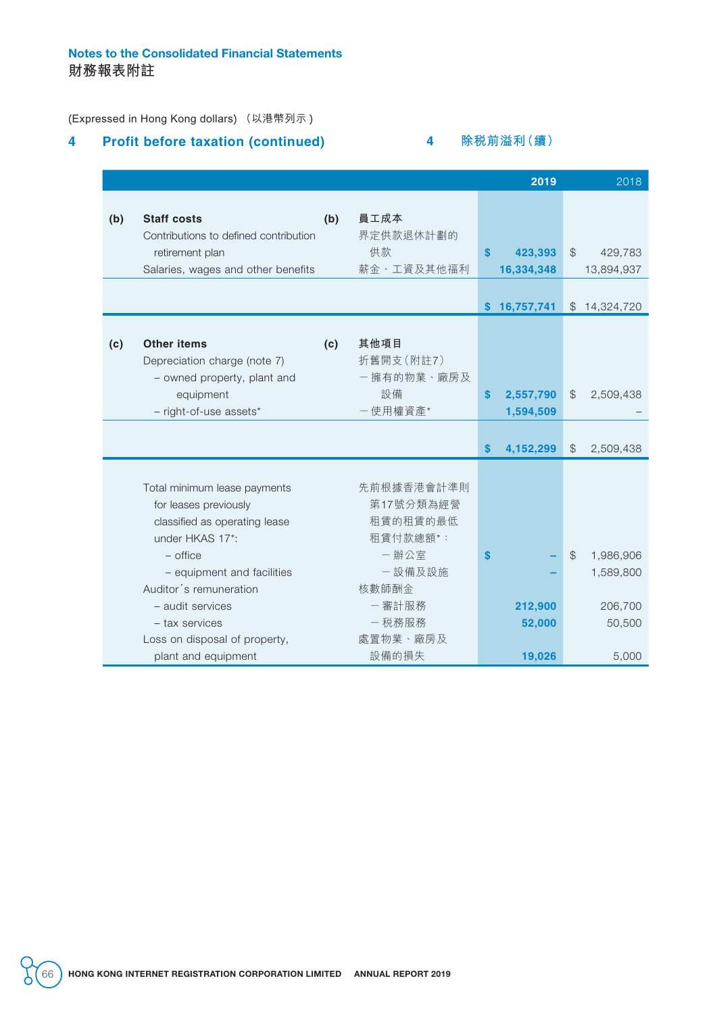## Notes to the Consolidated Financial Statements **財務報表附註**

(Expressed in Hong Kong dollars) (以港幣列示 )

## **4 Profit before taxation (continued)**

## **4 除稅前溢利(續)**

|     |                                       |     |            |                  | 2019         |               | 2018         |
|-----|---------------------------------------|-----|------------|------------------|--------------|---------------|--------------|
|     |                                       |     |            |                  |              |               |              |
| (b) | <b>Staff costs</b>                    | (b) | 員工成本       |                  |              |               |              |
|     | Contributions to defined contribution |     | 界定供款退休計劃的  |                  |              |               |              |
|     | retirement plan                       |     | 供款         | $\boldsymbol{s}$ | 423,393      | $\frac{1}{2}$ | 429,783      |
|     | Salaries, wages and other benefits    |     | 薪金、工資及其他福利 |                  | 16,334,348   |               | 13,894,937   |
|     |                                       |     |            |                  |              |               |              |
|     |                                       |     |            |                  | \$16,757,741 |               | \$14,324,720 |
|     |                                       |     |            |                  |              |               |              |
| (c) | <b>Other items</b>                    | (c) | 其他項目       |                  |              |               |              |
|     | Depreciation charge (note 7)          |     | 折舊開支(附註7)  |                  |              |               |              |
|     | - owned property, plant and           |     | 一擁有的物業、廠房及 |                  |              |               |              |
|     | equipment                             |     | 設備         | $\mathbf{s}$     | 2,557,790    | $\mathcal{L}$ | 2,509,438    |
|     | - right-of-use assets*                |     | 一使用權資產*    |                  | 1,594,509    |               |              |
|     |                                       |     |            |                  |              |               |              |
|     |                                       |     |            | $\mathbf{s}$     | 4,152,299    | $\$\$         | 2,509,438    |
|     |                                       |     |            |                  |              |               |              |
|     | Total minimum lease payments          |     | 先前根據香港會計準則 |                  |              |               |              |
|     | for leases previously                 |     | 第17號分類為經營  |                  |              |               |              |
|     | classified as operating lease         |     | 租賃的租賃的最低   |                  |              |               |              |
|     | under HKAS 17*:                       |     | 租賃付款總額*:   |                  |              |               |              |
|     | $-$ office                            |     | 一辦公室       | $\mathbf{s}$     |              | $\mathcal{L}$ | 1,986,906    |
|     | - equipment and facilities            |     | 一設備及設施     |                  |              |               | 1,589,800    |
|     | Auditor's remuneration                |     | 核數師酬金      |                  |              |               |              |
|     | - audit services                      |     | 一審計服務      |                  | 212,900      |               | 206,700      |
|     | - tax services                        |     | 一税務服務      |                  | 52,000       |               | 50,500       |
|     | Loss on disposal of property,         |     | 處置物業、廠房及   |                  |              |               |              |
|     | plant and equipment                   |     | 設備的損失      |                  | 19,026       |               | 5,000        |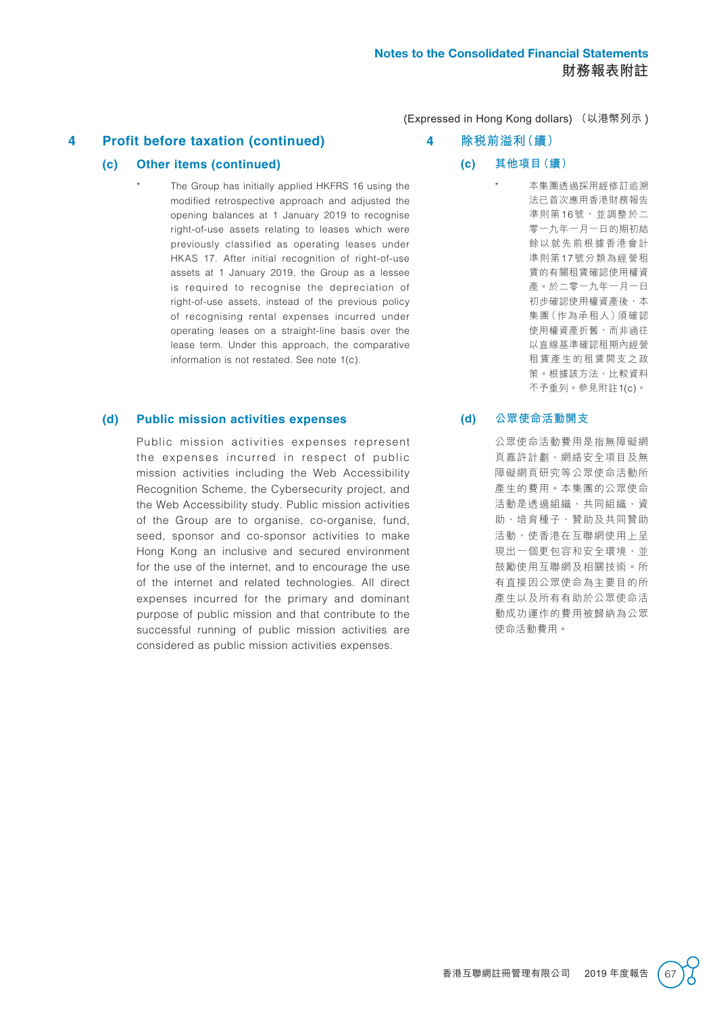**4 Profit before taxation (continued)**

### **(c) Other items (continued)**

The Group has initially applied HKFRS 16 using the modified retrospective approach and adjusted the opening balances at 1 January 2019 to recognise right-of-use assets relating to leases which were previously classified as operating leases under HKAS 17. After initial recognition of right-of-use assets at 1 January 2019, the Group as a lessee is required to recognise the depreciation of right-of-use assets, instead of the previous policy of recognising rental expenses incurred under operating leases on a straight-line basis over the lease term. Under this approach, the comparative information is not restated. See note 1(c).

#### **(d) Public mission activities expenses**

Public mission activities expenses represent the expenses incurred in respect of public mission activities including the Web Accessibility Recognition Scheme, the Cybersecurity project, and the Web Accessibility study. Public mission activities of the Group are to organise, co-organise, fund, seed, sponsor and co-sponsor activities to make Hong Kong an inclusive and secured environment for the use of the internet, and to encourage the use of the internet and related technologies. All direct expenses incurred for the primary and dominant purpose of public mission and that contribute to the successful running of public mission activities are considered as public mission activities expenses.

- (Expressed in Hong Kong dollars) (以港幣列示 )
	- **4 除稅前溢利(續)**
		- **(c) 其他項目(續)**
			- 本集團透過採用經修訂追溯 法已首次應用香港財務報告 準則第16號,並調整於二 零一九年一月一日的期初結 餘以就先前根據香港會計 準則第17號分類為經營租 賃的有關租賃確認使用權資 產。於二零一九年一月一日 初步確認使用權資產後,本 集團(作為承租人)須確認 使用權資產折舊,而非過往 以直線基準確認租期內經營 租賃產生的租賃開支之政 策。根據該方法,比較資料 不予重列。參見附註1(c)。

## **(d) 公眾使命活動開支**

公眾使命活動費用是指無障礙網 頁嘉許計劃、網絡安全項目及無 障礙網頁研究等公眾使命活動所 產生的費用。本集團的公眾使命 活動是透過組織、共同組織、資 助、培育種子、贊助及共同贊助 活動,使香港在互聯網使用上呈 現出一個更包容和安全環境,並 鼓勵使用互聯網及相關技術。所 有直接因公眾使命為主要目的所 產生以及所有有助於公眾使命活 動成功運作的費用被歸納為公眾 使命活動費用。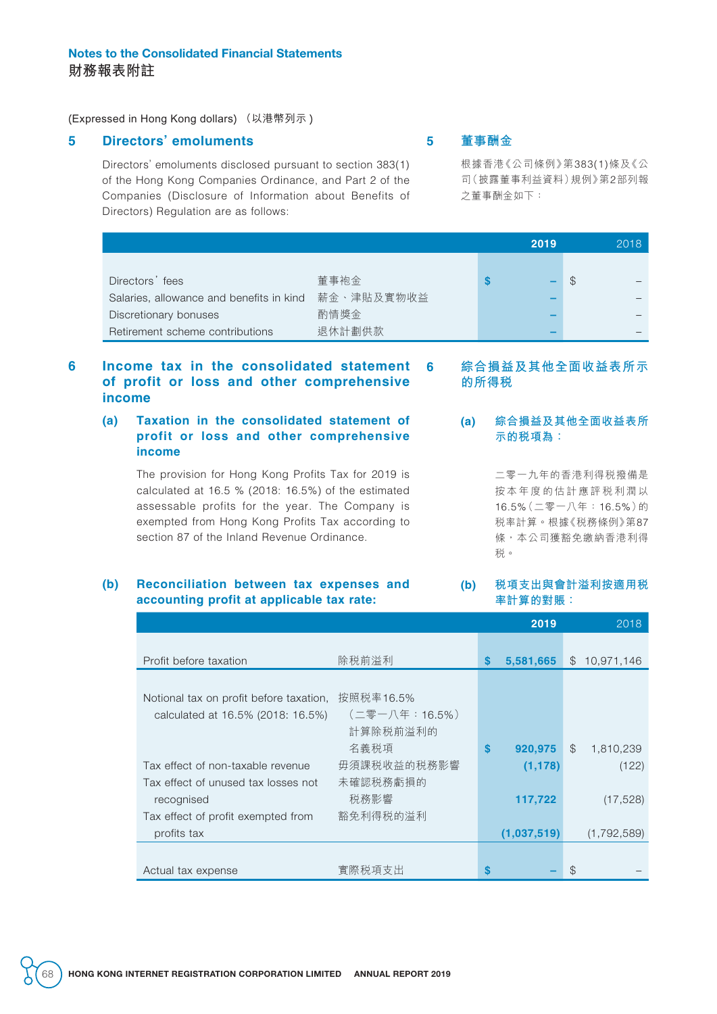## Notes to the Consolidated Financial Statements **財務報表附註**

(Expressed in Hong Kong dollars) (以港幣列示 )

#### **5 Directors' emoluments**

Directors' emoluments disclosed pursuant to section 383(1) of the Hong Kong Companies Ordinance, and Part 2 of the Companies (Disclosure of Information about Benefits of Directors) Regulation are as follows:

## **5 董事酬金**

根據香港《公司條例》第383(1)條及《公 司(披露董事利益資料)規例》第2部列報 之董事酬金如下:

|            | 2019 | 2018 |
|------------|------|------|
|            |      |      |
| 董事袍金       |      |      |
| 薪金、津貼及實物收益 |      |      |
| 酌情獎金       |      |      |
| 退休計劃供款     |      |      |
|            |      |      |

## **6 Income tax in the consolidated statement of profit or loss and other comprehensive income**

### **(a) Taxation in the consolidated statement of profit or loss and other comprehensive income**

The provision for Hong Kong Profits Tax for 2019 is calculated at 16.5 % (2018: 16.5%) of the estimated assessable profits for the year. The Company is exempted from Hong Kong Profits Tax according to section 87 of the Inland Revenue Ordinance.

## **6 綜合損益及其他全面收益表所示 的所得稅**

### **(a) 綜合損益及其他全面收益表所 示的稅項為:**

二零一九年的香港利得稅撥備是 按本年度的估計應評稅利潤以 16.5%(二零一八年:16.5%)的 稅率計算。根據《稅務條例》第87 條,本公司獲豁免繳納香港利得 稅。

#### **(b) Reconciliation between tax expenses and accounting profit at applicable tax rate:**

#### **(b) 稅項支出與會計溢利按適用稅 率計算的對賬:**

|                                         |                |    | 2019        |               | 2018        |
|-----------------------------------------|----------------|----|-------------|---------------|-------------|
|                                         |                |    |             |               |             |
| Profit before taxation                  | 除税前溢利          | S  | 5,581,665   | $\mathbb S$   | 10,971,146  |
|                                         |                |    |             |               |             |
| Notional tax on profit before taxation, | 按照税率16.5%      |    |             |               |             |
| calculated at 16.5% (2018: 16.5%)       | (二零一八年: 16.5%) |    |             |               |             |
|                                         | 計算除税前溢利的       |    |             |               |             |
|                                         | 名義税項           | \$ | 920,975     | $\mathcal{L}$ | 1,810,239   |
| Tax effect of non-taxable revenue       | 毋須課税收益的税務影響    |    | (1, 178)    |               | (122)       |
| Tax effect of unused tax losses not     | 未確認税務虧損的       |    |             |               |             |
| recognised                              | 税務影響           |    | 117,722     |               | (17, 528)   |
| Tax effect of profit exempted from      | 豁免利得税的溢利       |    |             |               |             |
| profits tax                             |                |    | (1,037,519) |               | (1,792,589) |
|                                         |                |    |             |               |             |
| Actual tax expense                      | 實際税項支出         | S  |             | \$            |             |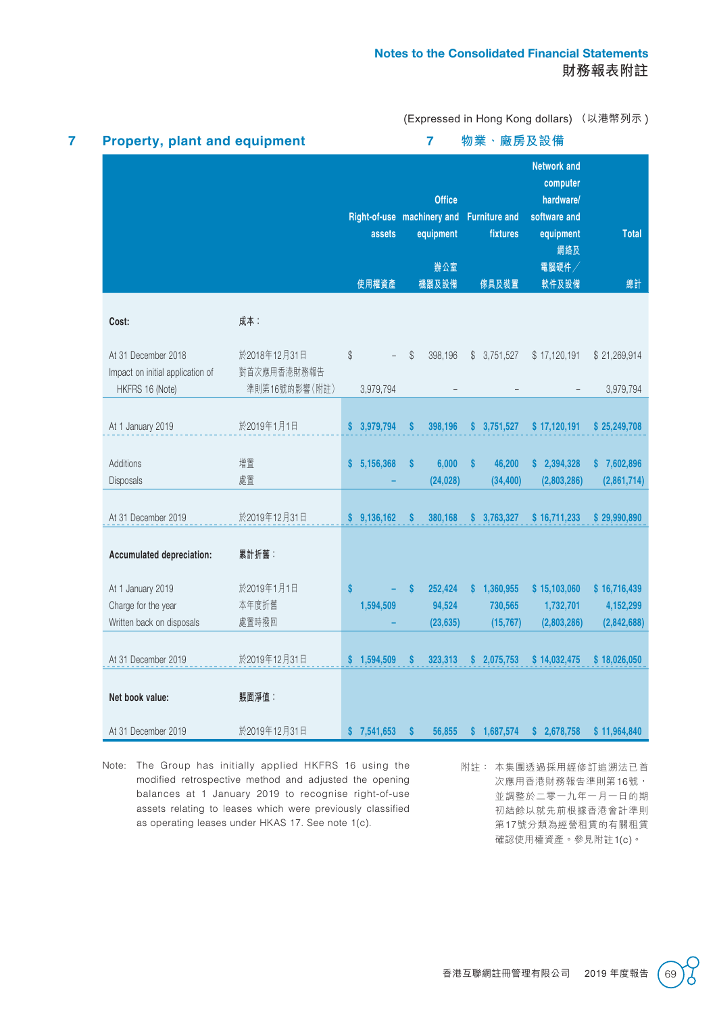| <b>Property, plant and equipment</b>                    |                             |                                               |    | $\overline{7}$                             |              | 物業·廠房及設備                                  |                                                                                                  |                    |
|---------------------------------------------------------|-----------------------------|-----------------------------------------------|----|--------------------------------------------|--------------|-------------------------------------------|--------------------------------------------------------------------------------------------------|--------------------|
|                                                         |                             | Right-of-use machinery and<br>assets<br>使用權資產 |    | <b>Office</b><br>equipment<br>辦公室<br>機器及設備 |              | <b>Furniture and</b><br>fixtures<br>傢具及裝置 | <b>Network and</b><br>computer<br>hardware/<br>software and<br>equipment<br>網絡及<br>電腦硬件<br>軟件及設備 | <b>Total</b><br>總計 |
| Cost:                                                   | 成本:                         |                                               |    |                                            |              |                                           |                                                                                                  |                    |
|                                                         |                             |                                               |    |                                            |              |                                           |                                                                                                  |                    |
| At 31 December 2018<br>Impact on initial application of | 於2018年12月31日<br>對首次應用香港財務報告 | \$                                            | \$ | 398,196                                    |              | \$3,751,527                               | \$17,120,191                                                                                     | \$21,269,914       |
| HKFRS 16 (Note)                                         | 準則第16號的影響(附註)               | 3,979,794                                     |    |                                            |              |                                           |                                                                                                  | 3,979,794          |
|                                                         |                             |                                               |    |                                            |              |                                           |                                                                                                  |                    |
| At 1 January 2019                                       | 於2019年1月1日                  | \$3,979,794                                   | S  | 398,196                                    |              | \$3,751,527                               | \$17,120,191                                                                                     | \$25,249,708       |
|                                                         |                             |                                               |    |                                            |              |                                           |                                                                                                  |                    |
| Additions                                               | 增置<br>處置                    | \$5,156,368                                   | \$ | 6,000                                      | $\mathbf{s}$ | 46,200                                    | \$2,394,328                                                                                      | \$7,602,896        |
| Disposals                                               |                             |                                               |    | (24, 028)                                  |              | (34, 400)                                 | (2,803,286)                                                                                      | (2,861,714)        |
| At 31 December 2019                                     | 於2019年12月31日                | \$9,136,162                                   | S  | 380,168                                    |              | \$3,763,327                               | \$16,711,233                                                                                     | \$29,990,890       |
| <b>Accumulated depreciation:</b>                        | 累計折舊:                       |                                               |    |                                            |              |                                           |                                                                                                  |                    |
| At 1 January 2019                                       | 於2019年1月1日                  | $\mathbf{s}$                                  | S  | 252,424                                    |              | \$1,360,955                               | \$15,103,060                                                                                     | \$16,716,439       |
| Charge for the year                                     | 本年度折舊                       | 1,594,509                                     |    | 94,524                                     |              | 730,565                                   | 1,732,701                                                                                        | 4,152,299          |
| Written back on disposals                               | 處置時撥回                       |                                               |    | (23, 635)                                  |              | (15, 767)                                 | (2,803,286)                                                                                      | (2,842,688)        |
| At 31 December 2019                                     | 於2019年12月31日                | \$1,594,509                                   | S  | 323,313                                    | S            | 2,075,753                                 | \$14,032,475                                                                                     | \$18,026,050       |
| Net book value:                                         | 賬面淨值:                       |                                               |    |                                            |              |                                           |                                                                                                  |                    |
| At 31 December 2019                                     | 於2019年12月31日                | \$7,541,653                                   | S  | 56,855                                     |              | \$1,687,574                               | \$2,678,758                                                                                      | \$11,964,840       |

- Note: The Group has initially applied HKFRS 16 using the modified retrospective method and adjusted the opening balances at 1 January 2019 to recognise right-of-use assets relating to leases which were previously classified as operating leases under HKAS 17. See note 1(c).
- 附註: 本集團透過採用經修訂追溯法已首 次應用香港財務報告準則第16號, 並調整於二零一九年一月一日的期 初結餘以就先前根據香港會計準則 第17號分類為經營租賃的有關租賃 確認使用權資產。參見附註1(c)。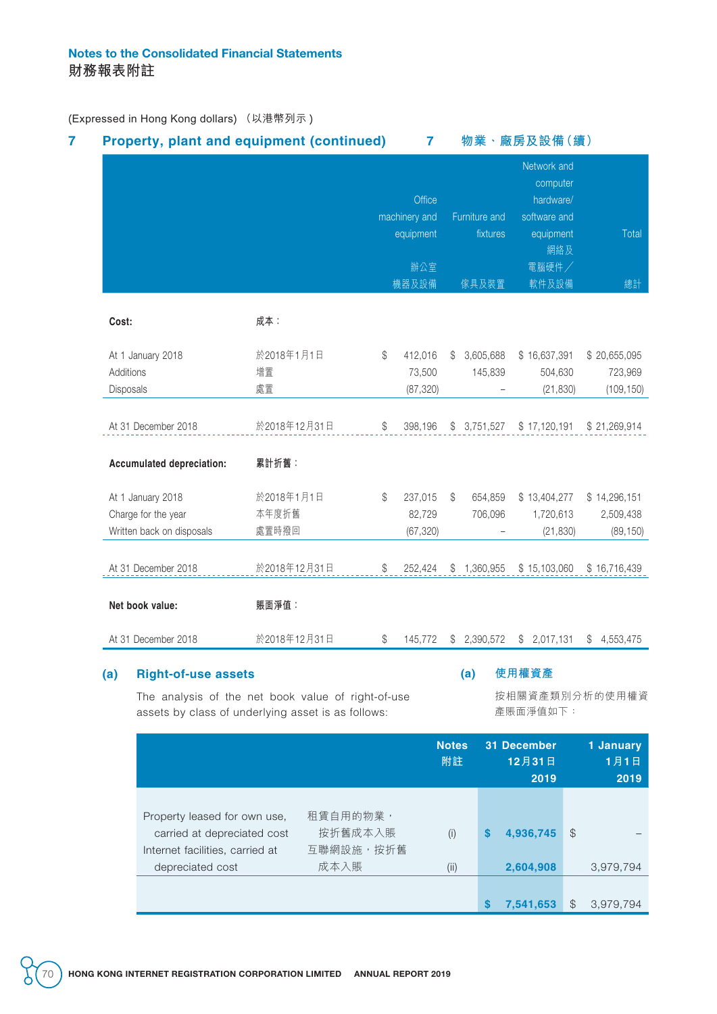| machinery and<br>成本:<br>Cost:<br>於2018年1月1日<br>At 1 January 2018<br>\$<br>增置<br>Additions<br>處置<br>Disposals<br>於2018年12月31日<br>At 31 December 2018<br>\$<br>累計折舊:<br><b>Accumulated depreciation:</b><br>於2018年1月1日<br>At 1 January 2018<br>\$<br>本年度折舊<br>Charge for the year<br>處置時撥回<br>Written back on disposals<br>於2018年12月31日<br>At 31 December 2018<br>\$<br>賬面淨值:<br>Net book value:<br>於2018年12月31日<br>At 31 December 2018<br>\$ | Office<br>equipment<br>辦公室<br>機器及設備<br>412,016<br>73,500<br>(87, 320)<br>398,196<br>237,015<br>82,729 | S<br>\$      | Furniture and<br>fixtures<br>傢具及裝置<br>3,605,688<br>145,839<br>\$3,751,527<br>654,859 | Network and<br>computer<br>hardware/<br>software and<br>equipment<br>網絡及<br>電腦硬件/<br>軟件及設備<br>\$16,637,391<br>504,630<br>(21, 830)<br>\$17,120,191<br>\$13,404,277 | Total<br>總計<br>\$20,655,095<br>723,969<br>(109, 150)<br>\$21,269,914<br>\$14,296,151 |
|---------------------------------------------------------------------------------------------------------------------------------------------------------------------------------------------------------------------------------------------------------------------------------------------------------------------------------------------------------------------------------------------------------------------------------------------|-------------------------------------------------------------------------------------------------------|--------------|--------------------------------------------------------------------------------------|--------------------------------------------------------------------------------------------------------------------------------------------------------------------|--------------------------------------------------------------------------------------|
|                                                                                                                                                                                                                                                                                                                                                                                                                                             |                                                                                                       |              |                                                                                      |                                                                                                                                                                    |                                                                                      |
|                                                                                                                                                                                                                                                                                                                                                                                                                                             |                                                                                                       |              |                                                                                      |                                                                                                                                                                    |                                                                                      |
|                                                                                                                                                                                                                                                                                                                                                                                                                                             |                                                                                                       |              |                                                                                      |                                                                                                                                                                    |                                                                                      |
|                                                                                                                                                                                                                                                                                                                                                                                                                                             |                                                                                                       |              |                                                                                      |                                                                                                                                                                    |                                                                                      |
|                                                                                                                                                                                                                                                                                                                                                                                                                                             |                                                                                                       |              |                                                                                      |                                                                                                                                                                    |                                                                                      |
|                                                                                                                                                                                                                                                                                                                                                                                                                                             |                                                                                                       |              |                                                                                      |                                                                                                                                                                    |                                                                                      |
|                                                                                                                                                                                                                                                                                                                                                                                                                                             |                                                                                                       |              |                                                                                      |                                                                                                                                                                    |                                                                                      |
|                                                                                                                                                                                                                                                                                                                                                                                                                                             |                                                                                                       |              |                                                                                      |                                                                                                                                                                    |                                                                                      |
|                                                                                                                                                                                                                                                                                                                                                                                                                                             |                                                                                                       |              |                                                                                      |                                                                                                                                                                    |                                                                                      |
|                                                                                                                                                                                                                                                                                                                                                                                                                                             |                                                                                                       |              | 706,096                                                                              | 1,720,613                                                                                                                                                          | 2,509,438                                                                            |
|                                                                                                                                                                                                                                                                                                                                                                                                                                             | (67, 320)                                                                                             |              |                                                                                      | (21, 830)                                                                                                                                                          | (89, 150)                                                                            |
|                                                                                                                                                                                                                                                                                                                                                                                                                                             | 252,424                                                                                               |              | \$1,360,955                                                                          | \$15,103,060                                                                                                                                                       | \$16,716,439                                                                         |
|                                                                                                                                                                                                                                                                                                                                                                                                                                             |                                                                                                       |              |                                                                                      |                                                                                                                                                                    |                                                                                      |
|                                                                                                                                                                                                                                                                                                                                                                                                                                             | 145,772                                                                                               | \$           | 2,390,572                                                                            | \$2,017,131                                                                                                                                                        | \$4,553,475                                                                          |
| (a)<br><b>Right-of-use assets</b>                                                                                                                                                                                                                                                                                                                                                                                                           |                                                                                                       |              | (a)                                                                                  | 使用權資產                                                                                                                                                              |                                                                                      |
| The analysis of the net book value of right-of-use<br>assets by class of underlying asset is as follows:                                                                                                                                                                                                                                                                                                                                    |                                                                                                       |              |                                                                                      | 按相關資產類別分析的使用權資<br>產賬面淨值如下:                                                                                                                                         |                                                                                      |
|                                                                                                                                                                                                                                                                                                                                                                                                                                             |                                                                                                       | <b>Notes</b> |                                                                                      | 31 December                                                                                                                                                        | 1 January                                                                            |
|                                                                                                                                                                                                                                                                                                                                                                                                                                             |                                                                                                       | 附註           |                                                                                      | 12月31日<br>2019                                                                                                                                                     | 1月1日<br>2019                                                                         |
|                                                                                                                                                                                                                                                                                                                                                                                                                                             |                                                                                                       |              |                                                                                      |                                                                                                                                                                    |                                                                                      |
| 租賃自用的物業,<br>Property leased for own use,<br>按折舊成本入賬<br>carried at depreciated cost                                                                                                                                                                                                                                                                                                                                                          |                                                                                                       |              |                                                                                      |                                                                                                                                                                    |                                                                                      |

互聯網設施,按折舊

成本入賬 (ii) **2,604,908** 3,979,794

**\$ 7,541,653** \$ 3,979,794

Internet facilities, carried at depreciated cost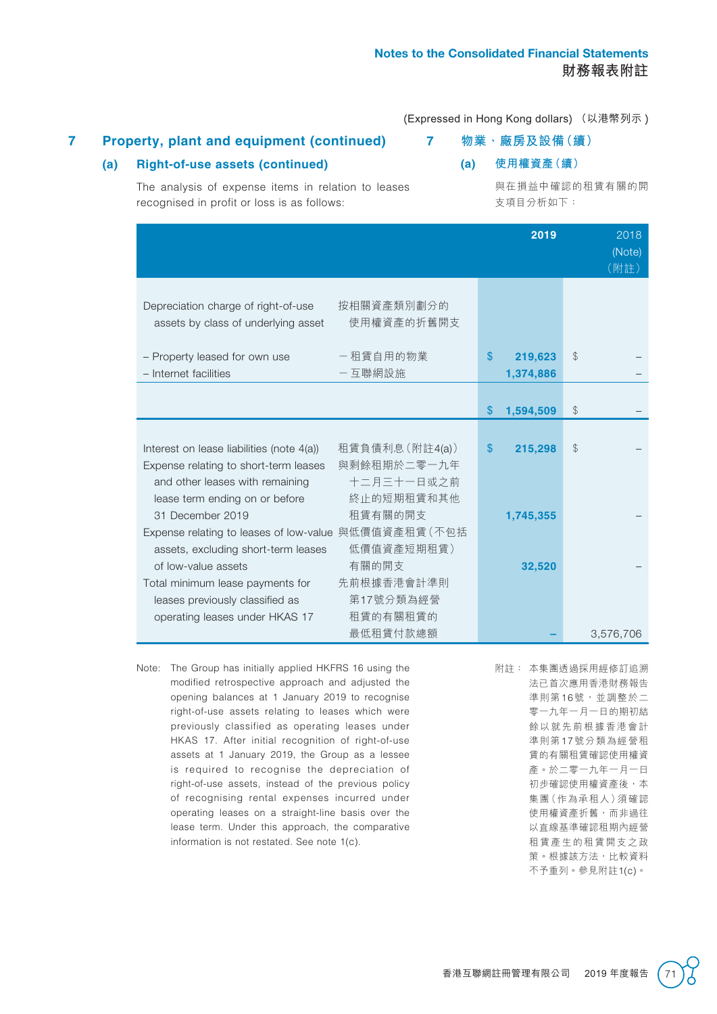## **7 Property, plant and equipment (continued)**

### **(a) Right-of-use assets (continued)**

**7 物業、廠房及設備(續)**

**(a) 使用權資產(續)**

The analysis of expense items in relation to leases recognised in profit or loss is as follows:

與在損益中確認的租賃有關的開 支項目分析如下:

|                                                                                                                                                                                                                      |              | 2019                 | 2018<br>(Note)<br>(附註) |
|----------------------------------------------------------------------------------------------------------------------------------------------------------------------------------------------------------------------|--------------|----------------------|------------------------|
| 按相關資產類別劃分的<br>Depreciation charge of right-of-use<br>使用權資產的折舊開支<br>assets by class of underlying asset                                                                                                               |              |                      |                        |
| 一租賃自用的物業<br>- Property leased for own use<br>一互聯網設施<br>- Internet facilities                                                                                                                                         | \$           | 219,623<br>1,374,886 | \$                     |
|                                                                                                                                                                                                                      | $\mathbb{S}$ | 1,594,509            | \$                     |
| 租賃負債利息(附註4(a))<br>Interest on lease liabilities (note 4(a))<br>與剩餘租期於二零一九年<br>Expense relating to short-term leases<br>十二月三十一日或之前<br>and other leases with remaining<br>終止的短期租賃和其他<br>lease term ending on or before | $\mathbb{S}$ | 215,298              | \$                     |
| 租賃有關的開支<br>31 December 2019<br>Expense relating to leases of low-value 與低價值資產租賃 (不包括<br>低價值資產短期租賃)<br>assets, excluding short-term leases                                                                            |              | 1,745,355            |                        |
| 有關的開支<br>of low-value assets<br>先前根據香港會計準則<br>Total minimum lease payments for<br>第17號分類為經營<br>leases previously classified as                                                                                       |              | 32,520               |                        |
| 租賃的有關租賃的<br>operating leases under HKAS 17<br>最低租賃付款總額                                                                                                                                                               |              |                      | 3,576,706              |

- Note: The Group has initially applied HKFRS 16 using the modified retrospective approach and adjusted the opening balances at 1 January 2019 to recognise right-of-use assets relating to leases which were previously classified as operating leases under HKAS 17. After initial recognition of right-of-use assets at 1 January 2019, the Group as a lessee is required to recognise the depreciation of right-of-use assets, instead of the previous policy of recognising rental expenses incurred under operating leases on a straight-line basis over the lease term. Under this approach, the comparative information is not restated. See note 1(c).
- 附註: 本集團透過採用經修訂追溯 法已首次應用香港財務報告 準則第16號,並調整於二 零一九年一月一日的期初結 餘以就先前根據香港會計 準則第17號分類為經營租 賃的有關租賃確認使用權資 產。於二零一九年一月一日 初步確認使用權資產後,本 集團(作為承租人)須確認 使用權資產折舊,而非過往 以直線基準確認租期內經營 租賃產生的租賃開支之政 策。根據該方法,比較資料 不予重列。參見附註1(c)。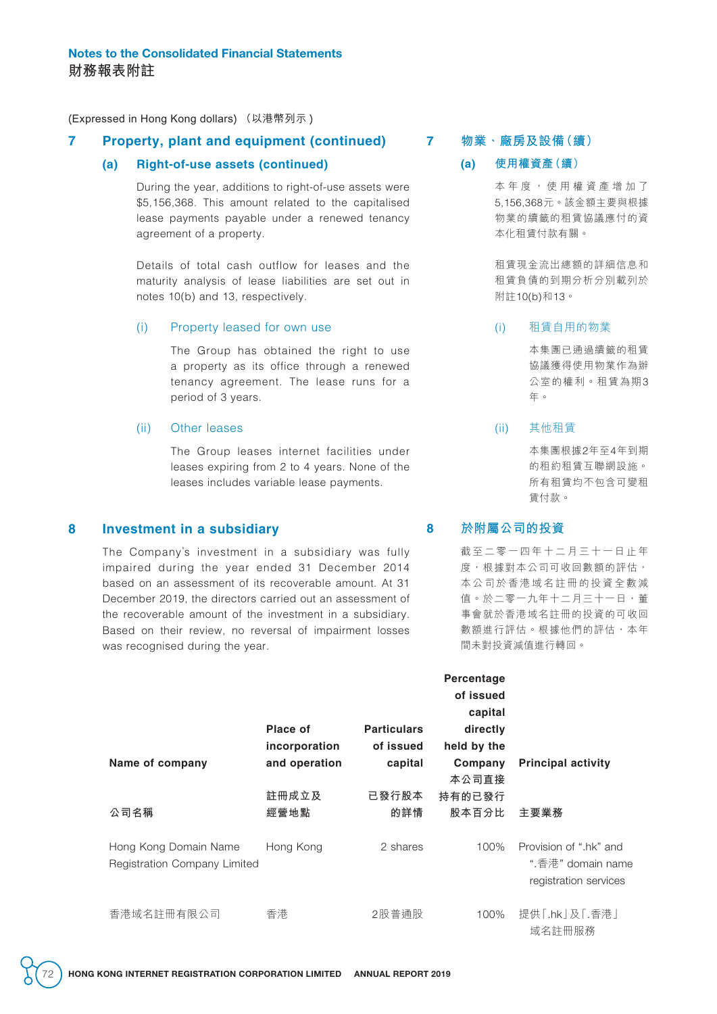#### **7 Property, plant and equipment (continued)**

#### **(a) Right-of-use assets (continued)**

During the year, additions to right-of-use assets were \$5,156,368. This amount related to the capitalised lease payments payable under a renewed tenancy agreement of a property.

Details of total cash outflow for leases and the maturity analysis of lease liabilities are set out in notes 10(b) and 13, respectively.

#### (i) Property leased for own use

The Group has obtained the right to use a property as its office through a renewed tenancy agreement. The lease runs for a period of 3 years.

#### (ii) Other leases

The Group leases internet facilities under leases expiring from 2 to 4 years. None of the leases includes variable lease payments.

#### **8 Investment in a subsidiary**

The Company's investment in a subsidiary was fully impaired during the year ended 31 December 2014 based on an assessment of its recoverable amount. At 31 December 2019, the directors carried out an assessment of the recoverable amount of the investment in a subsidiary. Based on their review, no reversal of impairment losses was recognised during the year.

#### **7 物業、廠房及設備(續)**

#### **(a) 使用權資產(續)**

本年度,使用權資產增加了 5,156,368元。該金額主要與根據 物業的續籤的租賃協議應付的資 本化租賃付款有關。

租賃現金流出總額的詳細信息和 租賃負債的到期分析分別載列於 附註10(b)和13。

#### (i) 租賃自用的物業

本集團已通過續籤的租賃 協議獲得使用物業作為辦 公室的權利。租賃為期3 年。

#### (ii) 其他租賃

本集團根據2年至4年到期 的租約租賃互聯網設施。 所有租賃均不包含可變租 賃付款。

### **8 於附屬公司的投資**

载至二零一四年十二月三十一日止年 度,根據對本公司可收回數額的評估, 本公司於香港域名註冊的投資全數減 值。於二零一九年十二月三十一日,董 事會就於香港域名註冊的投資的可收回 數額進行評估。根據他們的評估,本年 間未對投資減值進行轉回。

|                                                       | Place of<br>incorporation | <b>Particulars</b><br>of issued | Percentage<br>of issued<br>capital<br>directly<br>held by the |                                                                      |
|-------------------------------------------------------|---------------------------|---------------------------------|---------------------------------------------------------------|----------------------------------------------------------------------|
| Name of company                                       | and operation             | capital                         | Company<br>本公司直接                                              | <b>Principal activity</b>                                            |
| 公司名稱                                                  | 註冊成立及<br>經營地點             | 已發行股本<br>的詳情                    | 持有的已發行<br>股本百分比                                               | 主要業務                                                                 |
| Hong Kong Domain Name<br>Registration Company Limited | Hong Kong                 | 2 shares                        | 100%                                                          | Provision of ".hk" and<br>".香港" domain name<br>registration services |
| 香港域名註冊有限公司                                            | 香港                        | 2股普通股                           | 100%                                                          | 提供「.hk」及「.香港」<br>域名註冊服務                                              |

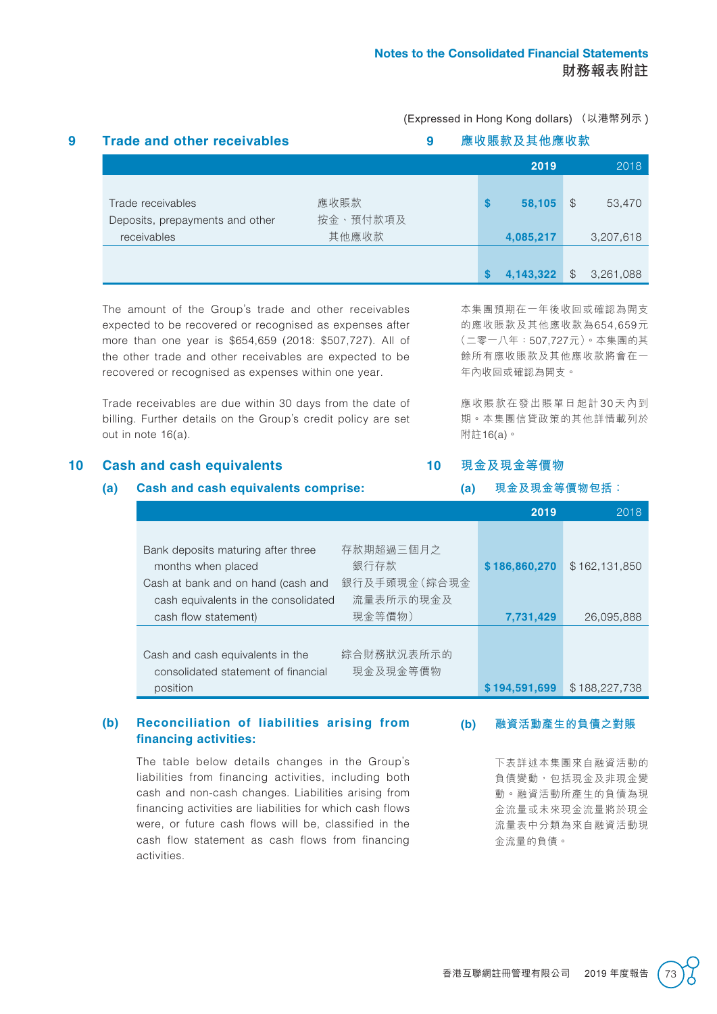|                                 |          |  |   | 應收賬款及其他應收款<br>2019 |               | 2018      |
|---------------------------------|----------|--|---|--------------------|---------------|-----------|
|                                 |          |  |   |                    |               |           |
| Trade receivables               | 應收賬款     |  | S | 58,105             | \$.           | 53,470    |
| Deposits, prepayments and other | 按金、預付款項及 |  |   |                    |               |           |
| receivables                     | 其他應收款    |  |   | 4,085,217          |               | 3,207,618 |
|                                 |          |  |   |                    |               |           |
|                                 |          |  |   | 4,143,322          | $\mathcal{S}$ | 3,261,088 |

The amount of the Group's trade and other receivables expected to be recovered or recognised as expenses after more than one year is \$654,659 (2018: \$507,727). All of the other trade and other receivables are expected to be recovered or recognised as expenses within one year.

Trade receivables are due within 30 days from the date of billing. Further details on the Group's credit policy are set out in note 16(a).

### 本集團預期在一年後收回或確認為開支 的應收賬款及其他應收款為654,659元 (二零一八年:507,727元)。本集團的其 餘所有應收賬款及其他應收款將會在一 年內收回或確認為開支。

應收賬款在發出賬單日起計 30 天內到 期。本集團信貸政策的其他詳情載列於 附註16(a)。

## **10 Cash and cash equivalents**

#### **(a) Cash and cash equivalents comprise:**

**10 現金及現金等價物**

**(a) 現金及現金等價物包括:**

|                                                                                                                                                                                           | 2019          | 2018          |
|-------------------------------------------------------------------------------------------------------------------------------------------------------------------------------------------|---------------|---------------|
| 存款期超過三個月之<br>Bank deposits maturing after three<br>銀行存款<br>months when placed<br>銀行及手頭現金 (綜合現金<br>Cash at bank and on hand (cash and<br>流量表所示的現金及<br>cash equivalents in the consolidated | \$186,860,270 | \$162,131,850 |
| 現金等價物)<br>cash flow statement)                                                                                                                                                            | 7,731,429     | 26,095,888    |
| 綜合財務狀況表所示的<br>Cash and cash equivalents in the<br>現金及現金等價物<br>consolidated statement of financial                                                                                         |               |               |
| position                                                                                                                                                                                  | \$194,591,699 | \$188,227,738 |

#### **(b) Reconciliation of liabilities arising from financing activities:**

The table below details changes in the Group's liabilities from financing activities, including both cash and non-cash changes. Liabilities arising from financing activities are liabilities for which cash flows were, or future cash flows will be, classified in the cash flow statement as cash flows from financing activities.

**(b) 融資活動產生的負債之對賬**

下表詳述本集團來自融資活動的 負債變動,包括現金及非現金變 動。融資活動所產生的負債為現 金流量或未來現金流量將於現金 流量表中分類為來自融資活動現 金流量的負債。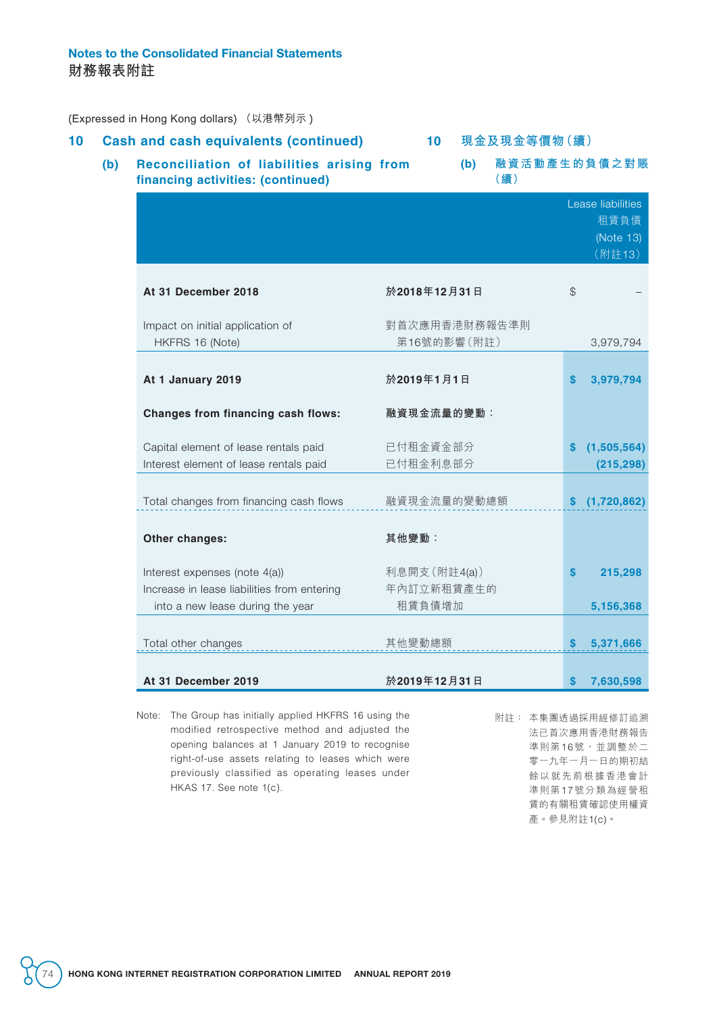## Notes to the Consolidated Financial Statements **財務報表附註**

(Expressed in Hong Kong dollars) (以港幣列示 )

| 10 |     | <b>Cash and cash equivalents (continued)</b>                                                                     | 10 <sub>1</sub>                      |     | 現金及現金等價物 (續) |               |                                                  |
|----|-----|------------------------------------------------------------------------------------------------------------------|--------------------------------------|-----|--------------|---------------|--------------------------------------------------|
|    | (b) | Reconciliation of liabilities arising from<br>financing activities: (continued)                                  |                                      | (b) | (續)          |               | 融資活動產生的負債之對賬                                     |
|    |     |                                                                                                                  |                                      |     |              |               | Lease liabilities<br>租賃負債<br>(Note 13)<br>(附註13) |
|    |     | At 31 December 2018                                                                                              | 於2018年12月31日                         |     |              | $\mathcal{C}$ |                                                  |
|    |     | Impact on initial application of<br>HKFRS 16 (Note)                                                              | 對首次應用香港財務報告準則<br>第16號的影響(附註)         |     |              |               | 3,979,794                                        |
|    |     | At 1 January 2019                                                                                                | 於2019年1月1日                           |     |              | S             | 3,979,794                                        |
|    |     | Changes from financing cash flows:                                                                               | 融資現金流量的變動:                           |     |              |               |                                                  |
|    |     | Capital element of lease rentals paid<br>Interest element of lease rentals paid                                  | 已付租金資金部分<br>已付租金利息部分                 |     |              |               | (1,505,564)<br>(215, 298)                        |
|    |     | Total changes from financing cash flows                                                                          | 融資現金流量的變動總額                          |     |              | S.            | (1,720,862)                                      |
|    |     | Other changes:                                                                                                   | 其他變動:                                |     |              |               |                                                  |
|    |     | Interest expenses (note 4(a))<br>Increase in lease liabilities from entering<br>into a new lease during the year | 利息開支(附註4(a))<br>年內訂立新租賃產生的<br>租賃負債增加 |     |              | S             | 215,298<br>5,156,368                             |
|    |     | Total other changes                                                                                              | 其他變動總額                               |     |              | S             | 5,371,666                                        |
|    |     | At 31 December 2019                                                                                              | 於2019年12月31日                         |     |              | <b>S</b>      | 7,630,598                                        |

Note: The Group has initially applied HKFRS 16 using the modified retrospective method and adjusted the opening balances at 1 January 2019 to recognise right-of-use assets relating to leases which were previously classified as operating leases under HKAS 17. See note 1(c).

附註: 本集團透過採用經修訂追溯 法已首次應用香港財務報告 準則第16號,並調整於二 零一九年一月一日的期初結 餘以就先前根據香港會計 準則第17號分類為經營租 賃的有關租賃確認使用權資 產。參見附註1(c)。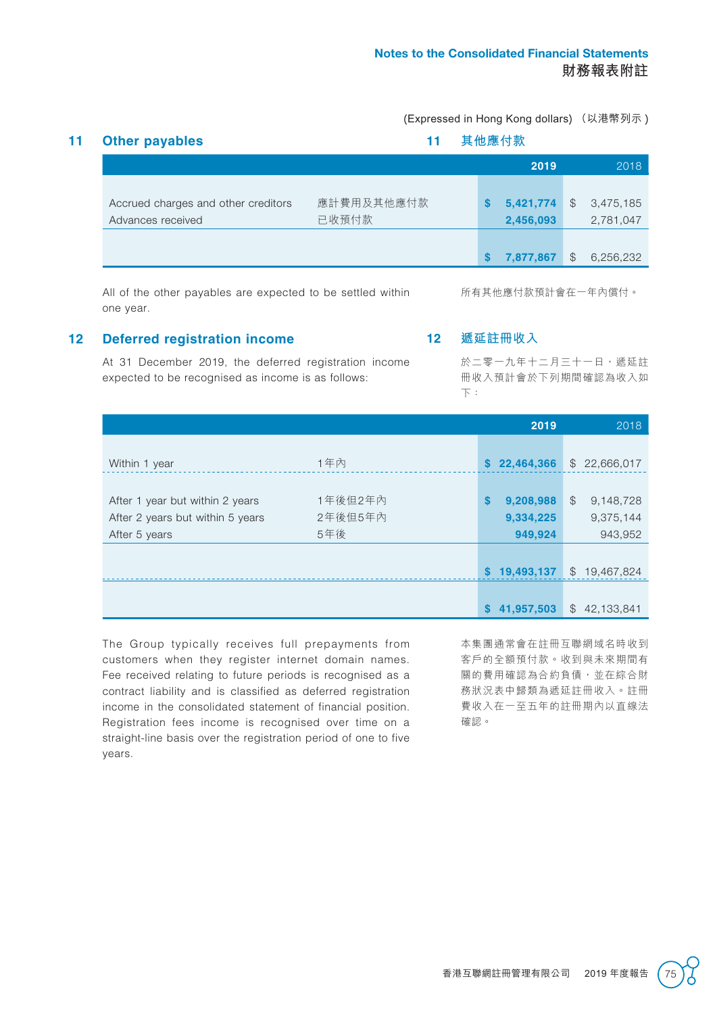|                                     |            |   | 2019      |              | 2018      |
|-------------------------------------|------------|---|-----------|--------------|-----------|
| Accrued charges and other creditors | 應計費用及其他應付款 | S | 5,421,774 | $\mathbb{S}$ | 3,475,185 |
| Advances received                   | 已收預付款      |   | 2,456,093 |              | 2,781,047 |
|                                     |            | S | 7,877,867 | $\mathbb{S}$ | 6,256,232 |

### **12 Deferred registration income**

At 31 December 2019, the deferred registration income expected to be recognised as income is as follows:

#### **12 遞延註冊收入**

於二零一九年十二月三十一日,遞延註 冊收入預計會於下列期間確認為收入如 下:

|                                  |         |              | 2019       | 2018                        |
|----------------------------------|---------|--------------|------------|-----------------------------|
|                                  |         |              |            |                             |
| Within 1 year                    | 1年內     | S.           | 22,464,366 | \$22,666,017                |
|                                  |         |              |            |                             |
| After 1 year but within 2 years  | 1年後但2年內 | S            | 9,208,988  | $\mathcal{F}$<br>9,148,728  |
| After 2 years but within 5 years | 2年後但5年內 |              | 9,334,225  | 9,375,144                   |
| After 5 years                    | 5年後     |              | 949,924    | 943,952                     |
|                                  |         |              |            |                             |
|                                  |         | $\mathbf{s}$ | 19,493,137 | $\mathbb{S}$<br>19,467,824  |
|                                  |         |              |            |                             |
|                                  |         | S            | 41,957,503 | $\mathcal{L}$<br>42,133,841 |

The Group typically receives full prepayments from customers when they register internet domain names. Fee received relating to future periods is recognised as a contract liability and is classified as deferred registration income in the consolidated statement of financial position. Registration fees income is recognised over time on a straight-line basis over the registration period of one to five years.

本集團通常會在註冊互聯網域名時收到 客戶的全額預付款。收到與未來期間有 關的費用確認為合約負債,並在綜合財 務狀況表中歸類為遞延註冊收入。註冊 費收入在一至五年的註冊期內以直線法 確認。

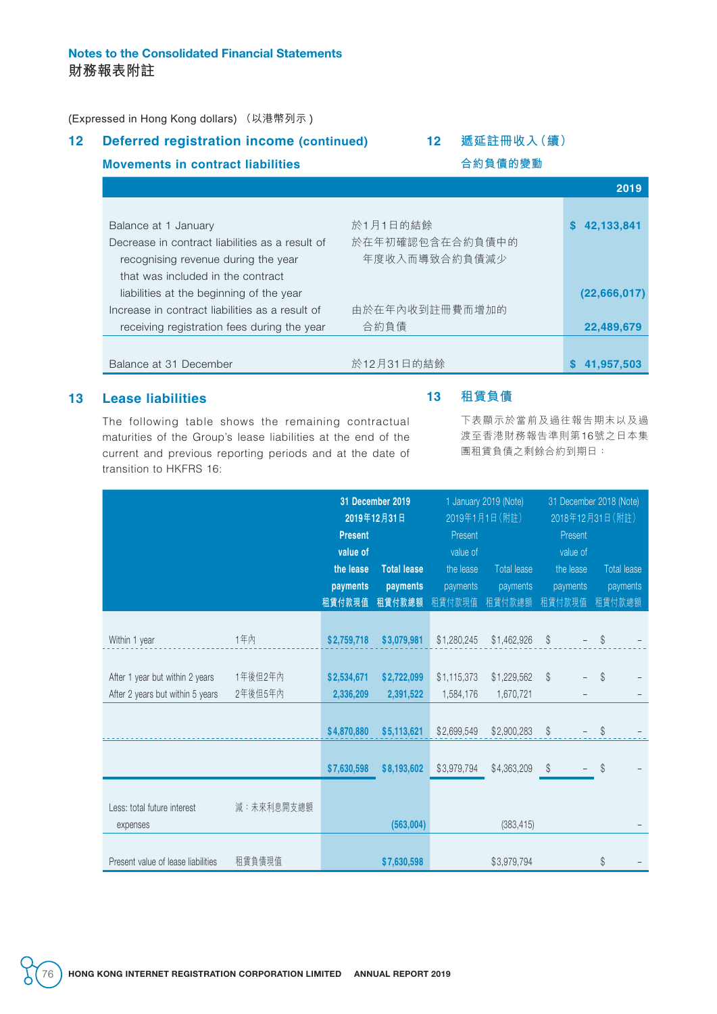## Notes to the Consolidated Financial Statements **財務報表附註**

(Expressed in Hong Kong dollars) (以港幣列示 )

**Movements in contract liabilities**

## **12 Deferred registration income (continued)**

## **12 遞延註冊收入(續)**

**合約負債的變動**

|                                                                    | 2019            |
|--------------------------------------------------------------------|-----------------|
|                                                                    |                 |
| 於1月1日的結餘<br>Balance at 1 January                                   | 42,133,841<br>S |
| 於在年初確認包含在合約負債中的<br>Decrease in contract liabilities as a result of |                 |
| 年度收入而導致合約負債減少<br>recognising revenue during the year               |                 |
| that was included in the contract                                  |                 |
| liabilities at the beginning of the year                           | (22,666,017)    |
| 由於在年內收到註冊費而增加的<br>Increase in contract liabilities as a result of  |                 |
| 合約負債<br>receiving registration fees during the year                | 22,489,679      |
|                                                                    |                 |
| 於12月31日的結餘<br>Balance at 31 December                               | 41,957,503      |

## **13 Lease liabilities**

The following table shows the remaining contractual maturities of the Group's lease liabilities at the end of the current and previous reporting periods and at the date of transition to HKFRS 16:

### **13 租賃負債**

下表顯示於當前及過往報告期末以及過 渡至香港財務報告準則第16號之日本集 團租賃負債之剩餘合約到期日:

|                                         |            | 31 December 2019<br>2019年12月31日 |                    |                       | 1 January 2019 (Note)<br>2019年1月1日(附註) |                       | 31 December 2018 (Note)<br>2018年12月31日 (附註) |
|-----------------------------------------|------------|---------------------------------|--------------------|-----------------------|----------------------------------------|-----------------------|---------------------------------------------|
|                                         |            | <b>Present</b>                  |                    | Present               |                                        | Present               |                                             |
|                                         |            | value of<br>the lease           | <b>Total lease</b> | value of<br>the lease | <b>Total lease</b>                     | value of<br>the lease | Total lease                                 |
|                                         |            | payments                        | payments           | payments              | payments                               | payments              | payments                                    |
|                                         |            | 租賃付款現值                          | 租賃付款總額             | 租賃付款現值                | 租賃付款總額                                 | 租賃付款現值                | 租賃付款總額                                      |
| Within 1 year                           | 1年內        | \$2,759,718                     | \$3,079,981        | \$1,280,245           | \$1,462,926                            | \$                    | $\mathcal{S}$                               |
|                                         |            |                                 |                    |                       |                                        |                       |                                             |
| After 1 year but within 2 years         | 1年後但2年內    | \$2,534,671                     | \$2,722,099        | \$1,115,373           | \$1,229,562                            | \$                    | $\mathcal{S}$                               |
| After 2 years but within 5 years        | 2年後但5年內    | 2,336,209                       | 2,391,522          | 1,584,176             | 1,670,721                              |                       |                                             |
|                                         |            |                                 |                    |                       |                                        |                       |                                             |
|                                         |            | \$4,870,880                     | \$5,113,621        | \$2,699,549           | \$2,900,283                            | $\$\$                 | \$                                          |
|                                         |            | \$7,630,598                     | \$8,193,602        | \$3,979,794           | \$4,363,209                            | $\mathcal{S}$         | \$                                          |
| Less: total future interest<br>expenses | 減:未來利息開支總額 |                                 | (563,004)          |                       | (383, 415)                             |                       |                                             |
| Present value of lease liabilities      | 租賃負債現值     |                                 | \$7,630,598        |                       | \$3,979,794                            |                       | \$                                          |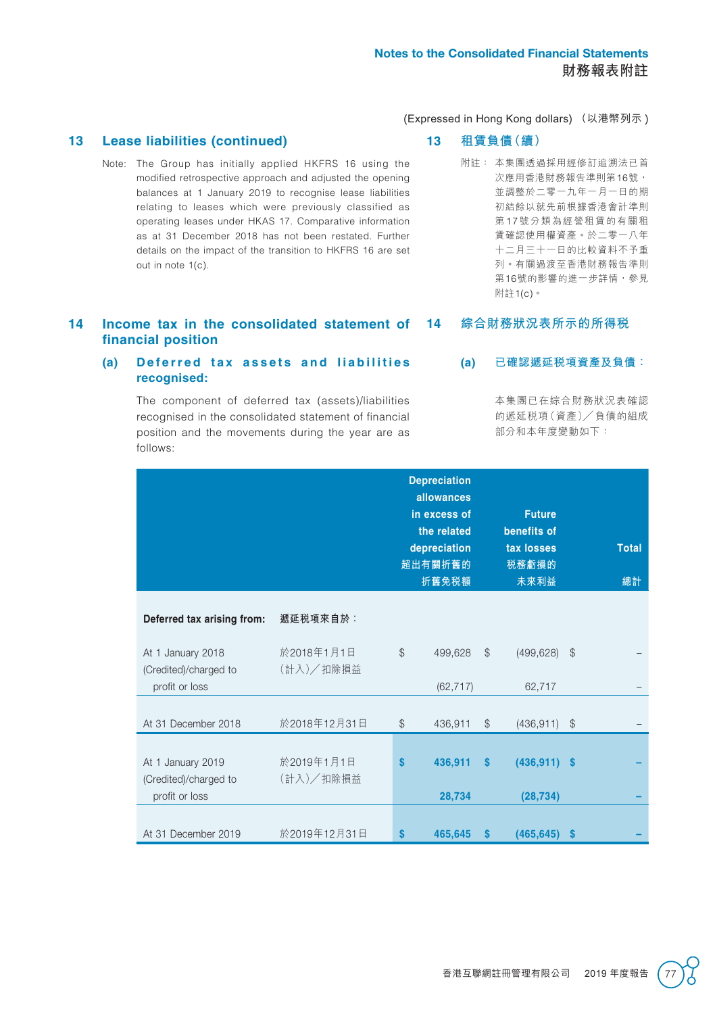#### **13 Lease liabilities (continued)**

Note: The Group has initially applied HKFRS 16 using the modified retrospective approach and adjusted the opening balances at 1 January 2019 to recognise lease liabilities relating to leases which were previously classified as operating leases under HKAS 17. Comparative information as at 31 December 2018 has not been restated. Further details on the impact of the transition to HKFRS 16 are set out in note 1(c).

### **13 租賃負債(續)**

附註: 本集團透過採用經修訂追溯法已首 次應用香港財務報告準則第16號, 並調整於二零一九年一月一日的期 初結餘以就先前根據香港會計準則 第17 號分類為經營租賃的有關租 賃確認使用權資產。於二零一八年 十二月三十一日的比較資料不予重 列。有關過渡至香港財務報告準則 第16號的影響的進一步詳情,參見 附註1(c)。

#### **14 Income tax in the consolidated statement of financial position 14 綜合財務狀況表所示的所得稅**

#### (a) Deferred tax assets and liabilities **recognised:**

The component of deferred tax (assets)/liabilities recognised in the consolidated statement of financial position and the movements during the year are as follows:

### **(a) 已確認遞延稅項資產及負債:**

本集團已在綜合財務狀況表確認 的遞延稅項(資產)╱ 負債的組成 部分和本年度變動如下:

|                                                              |                         |               | <b>Depreciation</b><br>allowances<br>in excess of<br>the related<br>depreciation<br>超出有關折舊的<br>折舊免税額 |               | <b>Future</b><br>benefits of<br>tax losses<br>税務虧損的<br>未來利益 |               | <b>Total</b><br>總計 |
|--------------------------------------------------------------|-------------------------|---------------|------------------------------------------------------------------------------------------------------|---------------|-------------------------------------------------------------|---------------|--------------------|
| Deferred tax arising from:                                   | 遞延税項來自於︰                |               |                                                                                                      |               |                                                             |               |                    |
| At 1 January 2018<br>(Credited)/charged to<br>profit or loss | 於2018年1月1日<br>(計入)/扣除損益 | $\mathcal{S}$ | 499,628<br>(62, 717)                                                                                 | $\mathcal{S}$ | (499, 628)<br>62,717                                        | $\$\$         |                    |
| At 31 December 2018                                          | 於2018年12月31日            | $\mathcal{L}$ | 436,911                                                                                              | $\mathcal{L}$ | (436, 911)                                                  | $\mathcal{L}$ |                    |
| At 1 January 2019<br>(Credited)/charged to<br>profit or loss | 於2019年1月1日<br>(計入)/扣除損益 | <b>S</b>      | 436,911<br>28,734                                                                                    | \$            | $(436, 911)$ \$<br>(28, 734)                                |               |                    |
| At 31 December 2019                                          | 於2019年12月31日            | <b>S</b>      | 465,645                                                                                              | S             | (465, 645)                                                  | <b>S</b>      |                    |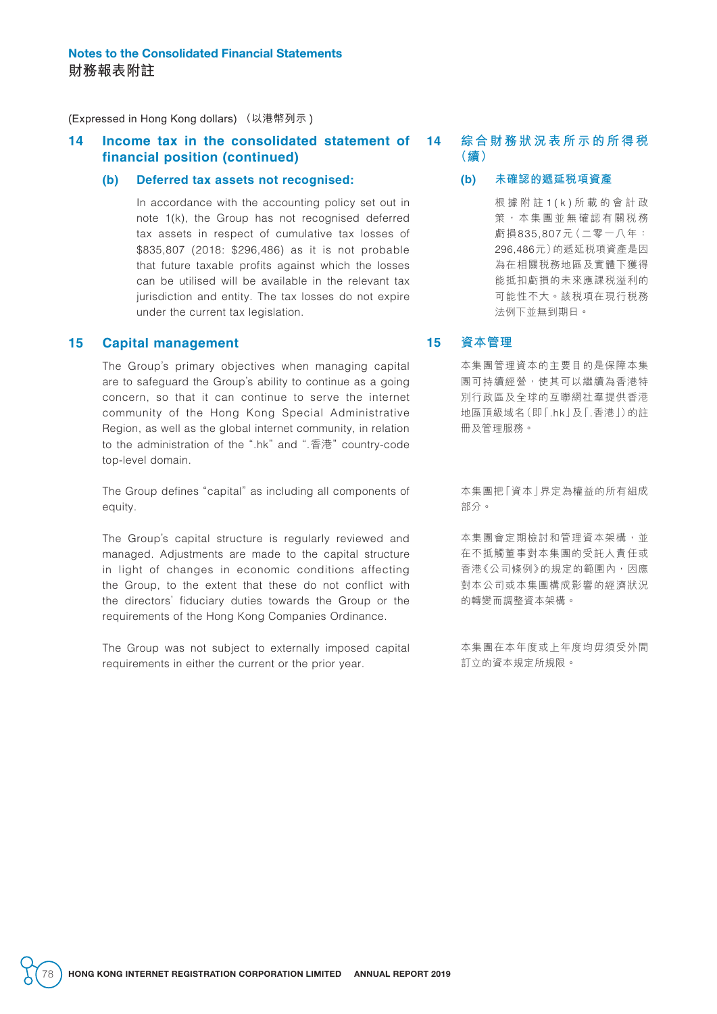#### **14 Income tax in the consolidated statement of financial position (continued)**

#### **(b) Deferred tax assets not recognised:**

In accordance with the accounting policy set out in note 1(k), the Group has not recognised deferred tax assets in respect of cumulative tax losses of \$835,807 (2018: \$296,486) as it is not probable that future taxable profits against which the losses can be utilised will be available in the relevant tax jurisdiction and entity. The tax losses do not expire under the current tax legislation.

### **15 Capital management**

The Group's primary objectives when managing capital are to safeguard the Group's ability to continue as a going concern, so that it can continue to serve the internet community of the Hong Kong Special Administrative Region, as well as the global internet community, in relation to the administration of the ".hk" and ".香港" country-code top-level domain.

The Group defines "capital" as including all components of equity.

The Group's capital structure is regularly reviewed and managed. Adjustments are made to the capital structure in light of changes in economic conditions affecting the Group, to the extent that these do not conflict with the directors' fiduciary duties towards the Group or the requirements of the Hong Kong Companies Ordinance.

The Group was not subject to externally imposed capital requirements in either the current or the prior year.

## **14 綜合財務狀況表所示的所得稅 (續)**

**(b) 未確認的遞延稅項資產**

根據附註 1(k) 所載的會計政 策,本集團並無確認有關税務 虧損835,807元(二零一八年: 296,486元)的遞延稅項資產是因 為在相關稅務地區及實體下獲得 能抵扣虧損的未來應課稅溢利的 可能性不大。該稅項在現行稅務 法例下並無到期日。

#### **15 資本管理**

本集團管理資本的主要目的是保障本集 團可持續經營,使其可以繼續為香港特 別行政區及全球的互聯網社羣提供香港 地區頂級域名(即「.hk」及「.香港」)的註 冊及管理服務。

本集團把「資本」界定為權益的所有組成 部分。

本集團會定期檢討和管理資本架構,並 在不抵觸董事對本集團的受託人責任或 香港《公司條例》的規定的範圍內,因應 對本公司或本集團構成影響的經濟狀況 的轉變而調整資本架構。

本集團在本年度或上年度均毋須受外間 訂立的資本規定所規限。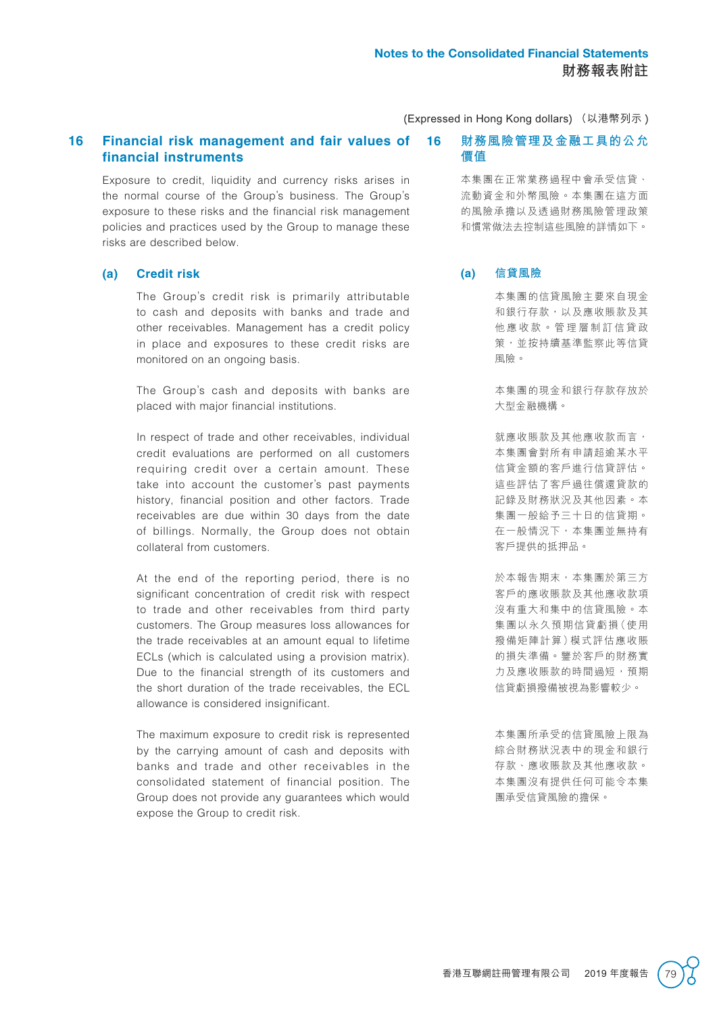### **16 Financial risk management and fair values of financial instruments**

Exposure to credit, liquidity and currency risks arises in the normal course of the Group's business. The Group's exposure to these risks and the financial risk management policies and practices used by the Group to manage these risks are described below.

#### **(a) Credit risk**

The Group's credit risk is primarily attributable to cash and deposits with banks and trade and other receivables. Management has a credit policy in place and exposures to these credit risks are monitored on an ongoing basis.

The Group's cash and deposits with banks are placed with major financial institutions.

In respect of trade and other receivables, individual credit evaluations are performed on all customers requiring credit over a certain amount. These take into account the customer's past payments history, financial position and other factors. Trade receivables are due within 30 days from the date of billings. Normally, the Group does not obtain collateral from customers.

At the end of the reporting period, there is no significant concentration of credit risk with respect to trade and other receivables from third party customers. The Group measures loss allowances for the trade receivables at an amount equal to lifetime ECLs (which is calculated using a provision matrix). Due to the financial strength of its customers and the short duration of the trade receivables, the ECL allowance is considered insignificant.

The maximum exposure to credit risk is represented by the carrying amount of cash and deposits with banks and trade and other receivables in the consolidated statement of financial position. The Group does not provide any guarantees which would expose the Group to credit risk.

**16 財務風險管理及金融工具的公允 價值**

> 本集團在正常業務過程中會承受信貸、 流動資金和外幣風險。本集團在這方面 的風險承擔以及透過財務風險管理政策 和慣常做法去控制這些風險的詳情如下。

#### **(a) 信貸風險**

本集團的信貸風險主要來自現金 和銀行存款,以及應收賬款及其 他應收款。管理層制訂信貸政 策,並按持續基準監察此等信貸 風險。

本集團的現金和銀行存款存放於 大型金融機構。

就應收賬款及其他應收款而言, 本集團會對所有申請超逾某水平 信貸金額的客戶進行信貸評估。 這些評估了客戶過往償還貸款的 記錄及財務狀況及其他因素。本 集團一般給予三十日的信貸期。 在一般情況下,本集團並無持有 客戶提供的抵押品。

於本報告期末,本集團於第三方 客戶的應收賬款及其他應收款項 沒有重大和集中的信貸風險。本 集團以永久預期信貸虧損(使用 撥備矩陣計算)模式評估應收賬 的損失準備。鑒於客戶的財務實 力及應收賬款的時間過短,預期 信貸虧損撥備被視為影響較少。

本集團所承受的信貸風險上限為 綜合財務狀況表中的現金和銀行 存款、應收賬款及其他應收款。 本集團沒有提供任何可能令本集 團承受信貸風險的擔保。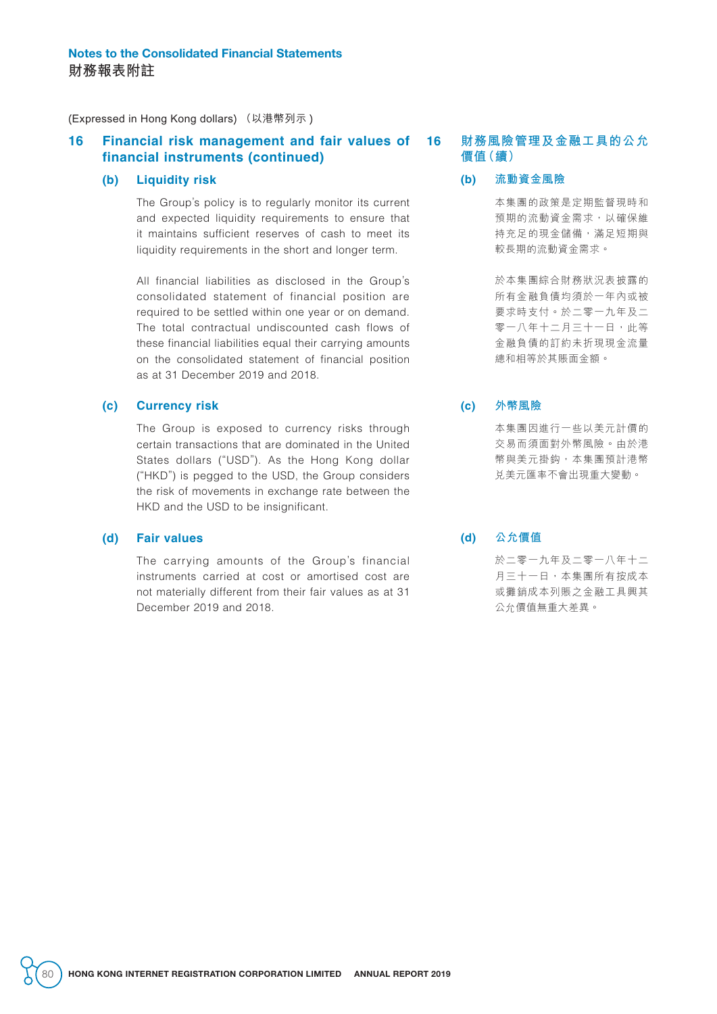#### **16 Financial risk management and fair values of financial instruments (continued)**

#### **(b) Liquidity risk**

The Group's policy is to regularly monitor its current and expected liquidity requirements to ensure that it maintains sufficient reserves of cash to meet its liquidity requirements in the short and longer term.

All financial liabilities as disclosed in the Group's consolidated statement of financial position are required to be settled within one year or on demand. The total contractual undiscounted cash flows of these financial liabilities equal their carrying amounts on the consolidated statement of financial position as at 31 December 2019 and 2018.

#### **(c) Currency risk**

The Group is exposed to currency risks through certain transactions that are dominated in the United States dollars ("USD"). As the Hong Kong dollar ("HKD") is pegged to the USD, the Group considers the risk of movements in exchange rate between the HKD and the USD to be insignificant.

#### **(d) Fair values**

The carrying amounts of the Group's financial instruments carried at cost or amortised cost are not materially different from their fair values as at 31 December 2019 and 2018.

### **16 財務風險管理及金融工具的公允 價值(續)**

**(b) 流動資金風險**

本集團的政策是定期監督現時和 預期的流動資金需求,以確保維 持充足的現金儲備,滿足短期與 較長期的流動資金需求。

於本集團綜合財務狀況表披露的 所有金融負債均須於一年內或被 要求時支付。於二零一九年及二 零一八年十二月三十一日,此等 金融負債的訂約未折現現金流量 總和相等於其賬面金額。

#### **(c) 外幣風險**

本集團因進行一些以美元計價的 交易而須面對外幣風險。由於港 幣與美元掛鈎,本集團預計港幣 兌美元匯率不會出現重大變動。

**(d) 公允價值**

於二零一九年及二零一八年十二 月三十一日,本集團所有按成本 或攤銷成本列賬之金融工具興其 公允價值無重大差異。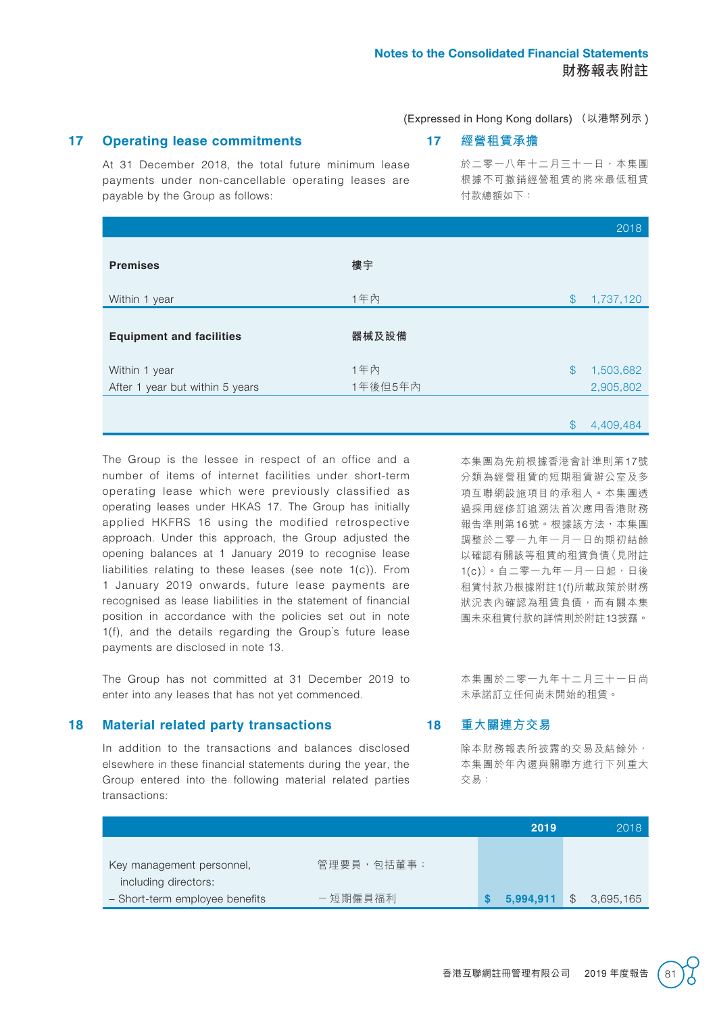## **17 Operating lease commitments**

## **17 經營租賃承擔**

At 31 December 2018, the total future minimum lease payments under non-cancellable operating leases are payable by the Group as follows:

於二零一八年十二月三十一日,本集團 根據不可撤銷經營租賃的將來最低租賃 付款總額如下:

|                                 |         |               | 2018      |
|---------------------------------|---------|---------------|-----------|
| <b>Premises</b>                 | 樓宇      |               |           |
| Within 1 year                   | 1年內     | $\$\$         | 1,737,120 |
| <b>Equipment and facilities</b> | 器械及設備   |               |           |
| Within 1 year                   | 1年內     | $\mathcal{S}$ | 1,503,682 |
| After 1 year but within 5 years | 1年後但5年內 |               | 2,905,802 |
|                                 |         |               |           |

The Group is the lessee in respect of an office and a number of items of internet facilities under short-term operating lease which were previously classified as operating leases under HKAS 17. The Group has initially applied HKFRS 16 using the modified retrospective approach. Under this approach, the Group adjusted the opening balances at 1 January 2019 to recognise lease liabilities relating to these leases (see note 1(c)). From 1 January 2019 onwards, future lease payments are recognised as lease liabilities in the statement of financial position in accordance with the policies set out in note 1(f), and the details regarding the Group's future lease payments are disclosed in note 13.

The Group has not committed at 31 December 2019 to enter into any leases that has not yet commenced.

#### **18 Material related party transactions**

In addition to the transactions and balances disclosed elsewhere in these financial statements during the year, the Group entered into the following material related parties transactions:

本集團為先前根據香港會計準則第17號 分類為經營租賃的短期租賃辦公室及多 項互聯網設施項目的承租人。本集團透 過採用經修訂追溯法首次應用香港財務 報告準則第16號。根據該方法,本集團 調整於二零一九年一月一日的期初結餘 以確認有關該等租賃的租賃負債(見附註 1(c))。自二零一九年一月一日起,日後 租賃付款乃根據附註1(f)所載政策於財務 狀況表內確認為租賃負債,而有關本集 團未來租賃付款的詳情則於附註13披露。

本集團於二零一九年十二月三十一日尚 未承諾訂立任何尚未開始的租賃。

## **18 重大關連方交易**

除本財務報表所披露的交易及結餘外, 本集團於年內還與關聯方進行下列重大 交易:

|                                |            | 2019      | 2018      |
|--------------------------------|------------|-----------|-----------|
|                                |            |           |           |
| Key management personnel,      | 管理要員,包括董事: |           |           |
| including directors:           |            |           |           |
| - Short-term employee benefits | 一短期僱員福利    | 5,994,911 | 3,695,165 |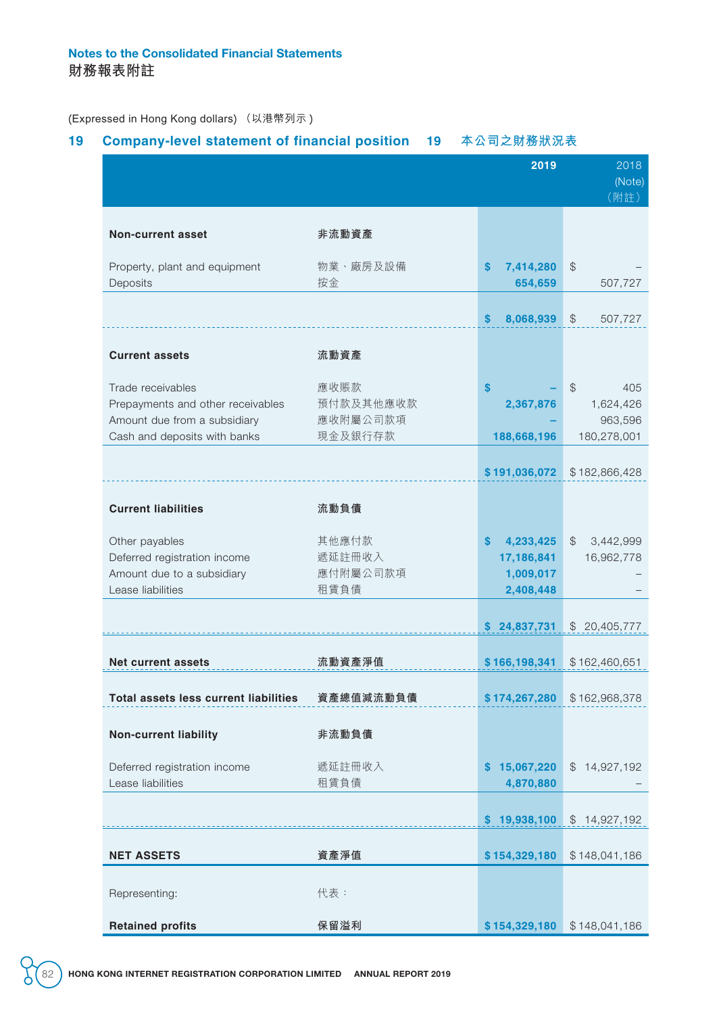## **19 Company-level statement of financial position 19 本公司之財務狀況表**

|                                                                                                                        |                                          | 2019                                                   | 2018<br>(Note)<br>(附註)                                      |
|------------------------------------------------------------------------------------------------------------------------|------------------------------------------|--------------------------------------------------------|-------------------------------------------------------------|
| Non-current asset                                                                                                      | 非流動資產                                    |                                                        |                                                             |
| Property, plant and equipment<br>Deposits                                                                              | 物業、廠房及設備<br>按金                           | S<br>7,414,280<br>654,659                              | $\frac{1}{2}$<br>507,727                                    |
|                                                                                                                        |                                          | 8,068,939<br>S                                         | \$<br>507,727                                               |
| <b>Current assets</b>                                                                                                  | 流動資產                                     |                                                        |                                                             |
| Trade receivables<br>Prepayments and other receivables<br>Amount due from a subsidiary<br>Cash and deposits with banks | 應收賬款<br>預付款及其他應收款<br>應收附屬公司款項<br>現金及銀行存款 | $\mathbf{s}$<br>2,367,876<br>188,668,196               | $\mathcal{L}$<br>405<br>1,624,426<br>963,596<br>180,278,001 |
|                                                                                                                        |                                          | \$191,036,072                                          | \$182,866,428                                               |
| <b>Current liabilities</b>                                                                                             | 流動負債                                     |                                                        |                                                             |
| Other payables<br>Deferred registration income<br>Amount due to a subsidiary<br>Lease liabilities                      | 其他應付款<br>遞延註冊收入<br>應付附屬公司款項<br>租賃負債      | S<br>4,233,425<br>17,186,841<br>1,009,017<br>2,408,448 | $\mathcal{L}$<br>3,442,999<br>16,962,778                    |
|                                                                                                                        |                                          | \$24,837,731                                           | \$20,405,777                                                |
| Net current assets                                                                                                     | 流動資產淨值                                   | \$166,198,341                                          | \$162,460,651                                               |
| <b>Total assets less current liabilities</b>                                                                           | 資產總值減流動負債                                | \$174,267,280                                          | \$162,968,378                                               |
| <b>Non-current liability</b>                                                                                           | 非流動負債                                    |                                                        |                                                             |
| Deferred registration income<br>Lease liabilities                                                                      | 遞延註冊收入<br>租賃負債                           | 15,067,220<br>S<br>4,870,880                           | \$14,927,192                                                |
|                                                                                                                        |                                          | \$19,938,100                                           | \$14,927,192                                                |
| <b>NET ASSETS</b>                                                                                                      | 資產淨值                                     | \$154,329,180                                          | \$148,041,186                                               |
| Representing:                                                                                                          | 代表:                                      |                                                        |                                                             |
| <b>Retained profits</b>                                                                                                | 保留溢利                                     | \$154,329,180                                          | \$148,041,186                                               |